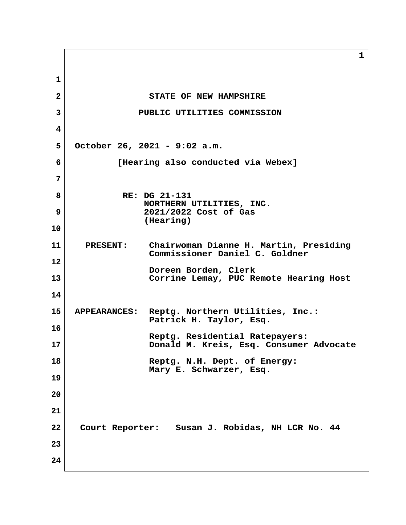**1 2** STATE OF NEW HAMPSHIRE  **3 PUBLIC UTILITIES COMMISSION 4 5 October 26, 2021 - 9:02 a.m. 6 [Hearing also conducted via Webex] 7 8 RE: DG 21-131 NORTHERN UTILITIES, INC. 9 2021/2022 Cost of Gas (Hearing) 10 11 PRESENT: Chairwoman Dianne H. Martin, Presiding Commissioner Daniel C. Goldner 12 Doreen Borden, Clerk 13 Corrine Lemay, PUC Remote Hearing Host 14 15 APPEARANCES: Reptg. Northern Utilities, Inc.: Patrick H. Taylor, Esq. 16 Reptg. Residential Ratepayers: 17 Donald M. Kreis, Esq. Consumer Advocate 18 Reptg. N.H. Dept. of Energy: Mary E. Schwarzer, Esq. 19 20 21 22 Court Reporter: Susan J. Robidas, NH LCR No. 44 23 24**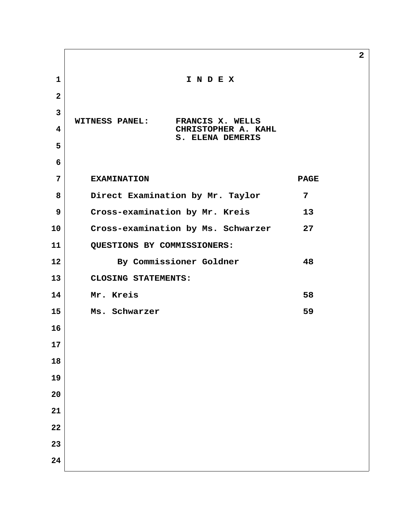| $\mathbf{1}$            | INDEX                                     |             |  |
|-------------------------|-------------------------------------------|-------------|--|
| $\mathbf{2}$            |                                           |             |  |
| $\overline{3}$          | <b>WITNESS PANEL:</b><br>FRANCIS X. WELLS |             |  |
| $\overline{\mathbf{4}}$ | CHRISTOPHER A. KAHL<br>S. ELENA DEMERIS   |             |  |
| 5                       |                                           |             |  |
| 6                       |                                           |             |  |
| 7                       | <b>EXAMINATION</b>                        | <b>PAGE</b> |  |
| 8                       | Direct Examination by Mr. Taylor          | 7           |  |
| 9                       | Cross-examination by Mr. Kreis            | 13          |  |
| 10                      | Cross-examination by Ms. Schwarzer        | 27          |  |
| 11                      | QUESTIONS BY COMMISSIONERS:               |             |  |
| 12                      | By Commissioner Goldner                   | 48          |  |
| 13                      | CLOSING STATEMENTS:                       |             |  |
| 14                      | Mr. Kreis                                 | 58          |  |
| 15                      | Ms. Schwarzer                             | 59          |  |
| 16                      |                                           |             |  |
| 17                      |                                           |             |  |
| 18                      |                                           |             |  |
| 19                      |                                           |             |  |
| 20                      |                                           |             |  |
| 21                      |                                           |             |  |
| 22                      |                                           |             |  |
| 23                      |                                           |             |  |
| 24                      |                                           |             |  |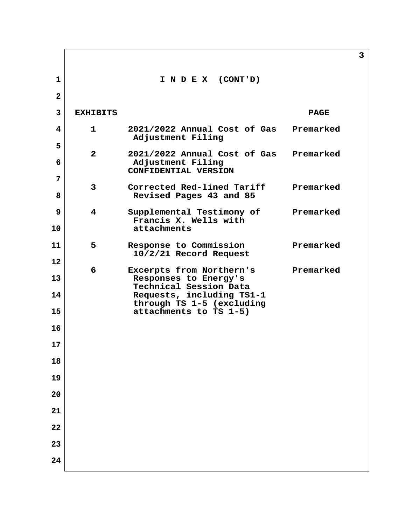|                |                 |                                                                              | $\overline{3}$ |
|----------------|-----------------|------------------------------------------------------------------------------|----------------|
| $\mathbf{1}$   |                 | I N D E X (CONT'D)                                                           |                |
| $\mathbf{2}$   |                 |                                                                              |                |
| $\overline{3}$ | <b>EXHIBITS</b> |                                                                              | <b>PAGE</b>    |
| 4              | $\mathbf{1}$    | 2021/2022 Annual Cost of Gas<br>Adjustment Filing                            | Premarked      |
| 5<br>6         | $\overline{2}$  | 2021/2022 Annual Cost of Gas<br>Adjustment Filing                            | Premarked      |
| 7              |                 | CONFIDENTIAL VERSION                                                         |                |
| 8              | $\mathbf{3}$    | Corrected Red-lined Tariff<br>Revised Pages 43 and 85                        | Premarked      |
| 9<br>10        | 4               | Supplemental Testimony of<br>Francis X. Wells with<br>attachments            | Premarked      |
| 11             | 5               | Response to Commission<br>10/2/21 Record Request                             | Premarked      |
| $12 \,$        | 6               | Excerpts from Northern's                                                     | Premarked      |
| 13<br>14       |                 | Responses to Energy's<br>Technical Session Data<br>Requests, including TS1-1 |                |
| 15             |                 | through TS 1-5 (excluding<br>attachments to TS 1-5)                          |                |
| 16             |                 |                                                                              |                |
| 17             |                 |                                                                              |                |
| 18             |                 |                                                                              |                |
| 19             |                 |                                                                              |                |
| 20             |                 |                                                                              |                |
| 21             |                 |                                                                              |                |
| 22             |                 |                                                                              |                |
| 23             |                 |                                                                              |                |
| 24             |                 |                                                                              |                |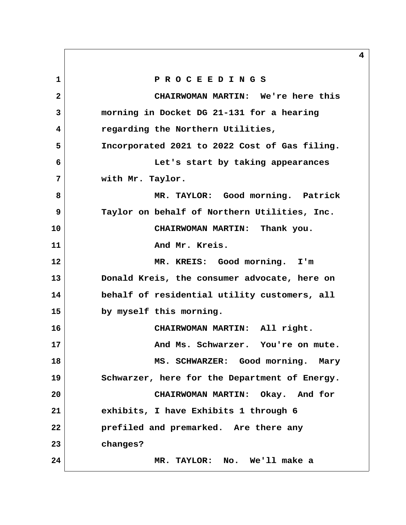**1 P R O C E E D I N G S 2 CHAIRWOMAN MARTIN: We're here this 3 morning in Docket DG 21-131 for a hearing 4 regarding the Northern Utilities, 5 Incorporated 2021 to 2022 Cost of Gas filing. 6 Let's start by taking appearances 7 with Mr. Taylor. 8 MR. TAYLOR: Good morning. Patrick 9 Taylor on behalf of Northern Utilities, Inc. 10 CHAIRWOMAN MARTIN: Thank you.** 11 And Mr. Kreis. **12 MR. KREIS: Good morning. I'm 13 Donald Kreis, the consumer advocate, here on 14 behalf of residential utility customers, all 15 by myself this morning. 16 CHAIRWOMAN MARTIN: All right. 17 And Ms. Schwarzer. You're on mute. 18 MS. SCHWARZER: Good morning. Mary 19 Schwarzer, here for the Department of Energy. 20 CHAIRWOMAN MARTIN: Okay. And for 21 exhibits, I have Exhibits 1 through 6 22 prefiled and premarked. Are there any 23 changes? 24 MR. TAYLOR: No. We'll make a**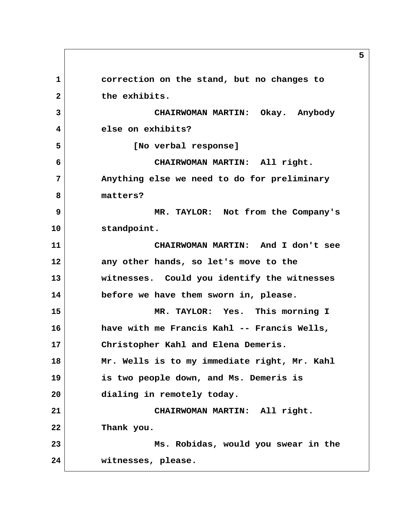**1 correction on the stand, but no changes to 2 the exhibits. 3 CHAIRWOMAN MARTIN: Okay. Anybody 4 else on exhibits? 5 [No verbal response] 6 CHAIRWOMAN MARTIN: All right. 7 Anything else we need to do for preliminary 8 matters? 9 MR. TAYLOR: Not from the Company's 10 standpoint. 11 CHAIRWOMAN MARTIN: And I don't see 12 any other hands, so let's move to the 13 witnesses. Could you identify the witnesses 14 before we have them sworn in, please. 15 MR. TAYLOR: Yes. This morning I 16 have with me Francis Kahl -- Francis Wells, 17 Christopher Kahl and Elena Demeris. 18 Mr. Wells is to my immediate right, Mr. Kahl 19 is two people down, and Ms. Demeris is 20 dialing in remotely today. 21 CHAIRWOMAN MARTIN: All right. 22 Thank you. 23 Ms. Robidas, would you swear in the 24 witnesses, please.**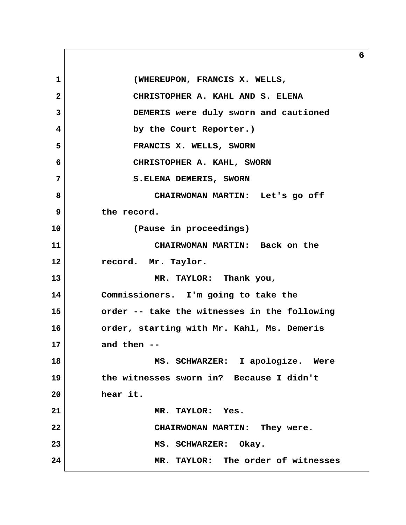1 **(WHEREUPON, FRANCIS X. WELLS, 2 CHRISTOPHER A. KAHL AND S. ELENA 3 DEMERIS were duly sworn and cautioned 4 by the Court Reporter.) 5 FRANCIS X. WELLS, SWORN 6 CHRISTOPHER A. KAHL, SWORN 7** S.ELENA DEMERIS, SWORN  **8 CHAIRWOMAN MARTIN: Let's go off 9 the record. 10 (Pause in proceedings) 11 CHAIRWOMAN MARTIN: Back on the 12 record. Mr. Taylor. 13 MR. TAYLOR: Thank you, 14 Commissioners. I'm going to take the 15 order -- take the witnesses in the following 16 order, starting with Mr. Kahl, Ms. Demeris 17 and then -- 18 MS. SCHWARZER: I apologize. Were 19 the witnesses sworn in? Because I didn't 20 hear it. 21 MR. TAYLOR: Yes. 22 CHAIRWOMAN MARTIN: They were.** 23 MS. SCHWARZER: Okay. **24 MR. TAYLOR: The order of witnesses**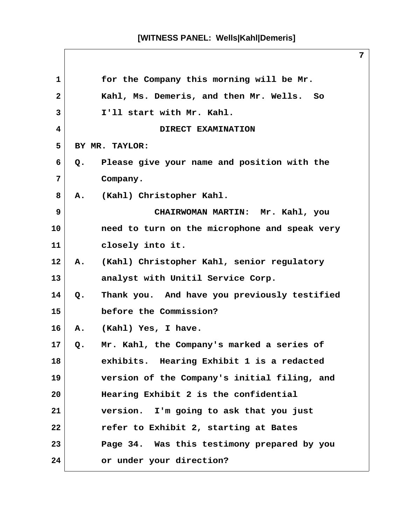**1 for the Company this morning will be Mr. 2 Kahl, Ms. Demeris, and then Mr. Wells. So 3 I'll start with Mr. Kahl. 4** DIRECT EXAMINATION  **5 BY MR. TAYLOR: 6 Q. Please give your name and position with the 7 Company. 8 A. (Kahl) Christopher Kahl. 9 CHAIRWOMAN MARTIN: Mr. Kahl, you 10 need to turn on the microphone and speak very 11 closely into it. 12 A. (Kahl) Christopher Kahl, senior regulatory 13 analyst with Unitil Service Corp. 14 Q. Thank you. And have you previously testified 15 before the Commission? 16 A. (Kahl) Yes, I have. 17 Q. Mr. Kahl, the Company's marked a series of 18 exhibits. Hearing Exhibit 1 is a redacted 19 version of the Company's initial filing, and 20 Hearing Exhibit 2 is the confidential 21 version. I'm going to ask that you just 22 refer to Exhibit 2, starting at Bates 23 Page 34. Was this testimony prepared by you 24 or under your direction?**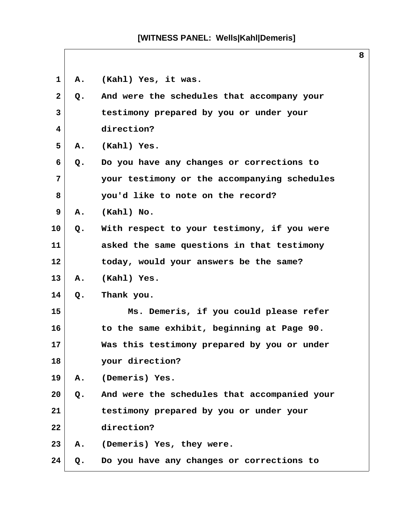| 1            | Α. | (Kahl) Yes, it was.                          |
|--------------|----|----------------------------------------------|
| $\mathbf{2}$ | Q. | And were the schedules that accompany your   |
| 3            |    | testimony prepared by you or under your      |
| 4            |    | direction?                                   |
| 5            | Α. | (Kahl) Yes.                                  |
| 6            | Q. | Do you have any changes or corrections to    |
| 7            |    | your testimony or the accompanying schedules |
| 8            |    | you'd like to note on the record?            |
| 9            | Α. | (Kahl) No.                                   |
| 10           | Q. | With respect to your testimony, if you were  |
| 11           |    | asked the same questions in that testimony   |
| 12           |    | today, would your answers be the same?       |
| 13           | А. | (Kahl) Yes.                                  |
| 14           | Q. | Thank you.                                   |
| 15           |    | Ms. Demeris, if you could please refer       |
| 16           |    | to the same exhibit, beginning at Page 90.   |
| 17           |    | Was this testimony prepared by you or under  |
| 18           |    | your direction?                              |
| 19           | Α. | (Demeris) Yes.                               |
| 20           | Q. | And were the schedules that accompanied your |
| 21           |    | testimony prepared by you or under your      |
| 22           |    | direction?                                   |
| 23           | А. | (Demeris) Yes, they were.                    |
| 24           | Q. | Do you have any changes or corrections to    |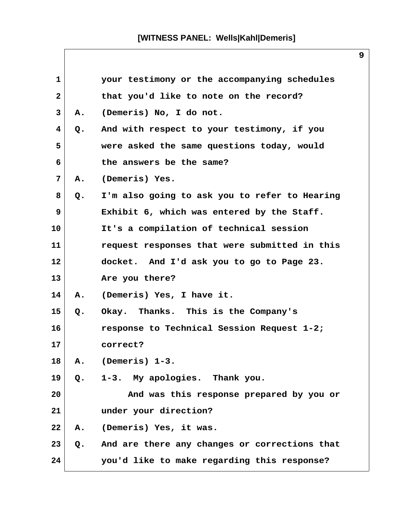| $\mathbf{1}$            |               | your testimony or the accompanying schedules  |
|-------------------------|---------------|-----------------------------------------------|
| $\mathbf{2}$            |               | that you'd like to note on the record?        |
| $\mathbf{3}$            | Α.            | (Demeris) No, I do not.                       |
| $\overline{\mathbf{4}}$ | Q.            | And with respect to your testimony, if you    |
| 5                       |               | were asked the same questions today, would    |
| 6                       |               | the answers be the same?                      |
| 7                       | Α.            | (Demeris) Yes.                                |
| 8                       | Q.            | I'm also going to ask you to refer to Hearing |
| 9                       |               | Exhibit 6, which was entered by the Staff.    |
| 10                      |               | It's a compilation of technical session       |
| 11                      |               | request responses that were submitted in this |
| $12 \,$                 |               | docket. And I'd ask you to go to Page 23.     |
| 13                      |               | Are you there?                                |
| 14                      | Α.            | (Demeris) Yes, I have it.                     |
| 15                      | $Q$ .         | Okay. Thanks. This is the Company's           |
| 16                      |               | response to Technical Session Request 1-2;    |
| 17                      |               | correct?                                      |
| 18                      | А.            | (Demeris) 1-3.                                |
| 19                      | $Q_{\bullet}$ | 1-3. My apologies. Thank you.                 |
| 20                      |               | And was this response prepared by you or      |
| 21                      |               | under your direction?                         |
| 22                      | Α.            | (Demeris) Yes, it was.                        |
| 23                      | Q.            | And are there any changes or corrections that |
| 24                      |               | you'd like to make regarding this response?   |

 $\mathsf{l}$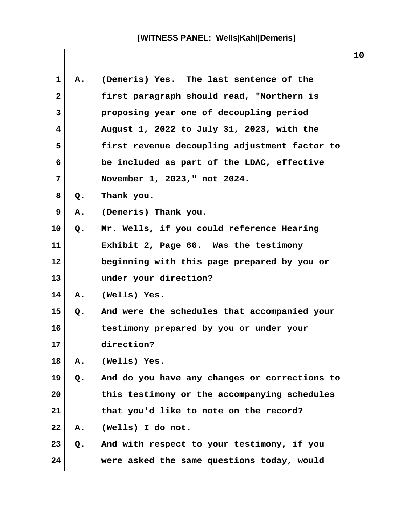| 1            | Α. | (Demeris) Yes. The last sentence of the       |
|--------------|----|-----------------------------------------------|
| $\mathbf{2}$ |    | first paragraph should read, "Northern is     |
| 3            |    | proposing year one of decoupling period       |
| 4            |    | August 1, 2022 to July 31, 2023, with the     |
| 5            |    | first revenue decoupling adjustment factor to |
| 6            |    | be included as part of the LDAC, effective    |
| 7            |    | November 1, 2023," not 2024.                  |
| 8            | Q. | Thank you.                                    |
| 9            | Α. | (Demeris) Thank you.                          |
| 10           | Q. | Mr. Wells, if you could reference Hearing     |
| 11           |    | Exhibit 2, Page 66. Was the testimony         |
| 12           |    | beginning with this page prepared by you or   |
| 13           |    | under your direction?                         |
| 14           | Α. | (Wells) Yes.                                  |
| 15           | Q. | And were the schedules that accompanied your  |
| 16           |    | testimony prepared by you or under your       |
| 17           |    | direction?                                    |
| 18           | Α. | (Wells) Yes.                                  |
| 19           | Q. | And do you have any changes or corrections to |
| 20           |    | this testimony or the accompanying schedules  |
| 21           |    | that you'd like to note on the record?        |
| 22           | Α. | (Wells) I do not.                             |
| 23           | Q. | And with respect to your testimony, if you    |
| 24           |    | were asked the same questions today, would    |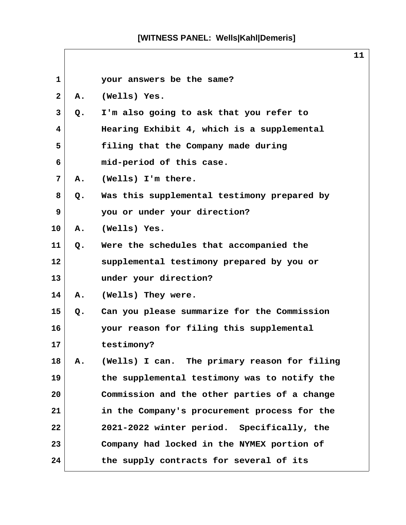| $\mathbf{1}$ |    | your answers be the same?                    |  |
|--------------|----|----------------------------------------------|--|
| $\mathbf{2}$ | Α. | (Wells) Yes.                                 |  |
| 3            | Q. | I'm also going to ask that you refer to      |  |
| 4            |    | Hearing Exhibit 4, which is a supplemental   |  |
| 5            |    | filing that the Company made during          |  |
| 6            |    | mid-period of this case.                     |  |
| 7            | Α. | (Wells) I'm there.                           |  |
| 8            | Q. | Was this supplemental testimony prepared by  |  |
| 9            |    | you or under your direction?                 |  |
| 10           | Α. | (Wells) Yes.                                 |  |
| 11           | Q. | Were the schedules that accompanied the      |  |
| 12           |    | supplemental testimony prepared by you or    |  |
| 13           |    | under your direction?                        |  |
| 14           | A. | (Wells) They were.                           |  |
| 15           | Q. | Can you please summarize for the Commission  |  |
| 16           |    | your reason for filing this supplemental     |  |
| 17           |    | testimony?                                   |  |
| 18           | Α. | (Wells) I can. The primary reason for filing |  |
| 19           |    | the supplemental testimony was to notify the |  |
| 20           |    | Commission and the other parties of a change |  |
| 21           |    | in the Company's procurement process for the |  |
| 22           |    | 2021-2022 winter period. Specifically, the   |  |
| 23           |    | Company had locked in the NYMEX portion of   |  |
| 24           |    | the supply contracts for several of its      |  |

 $\mathsf{l}$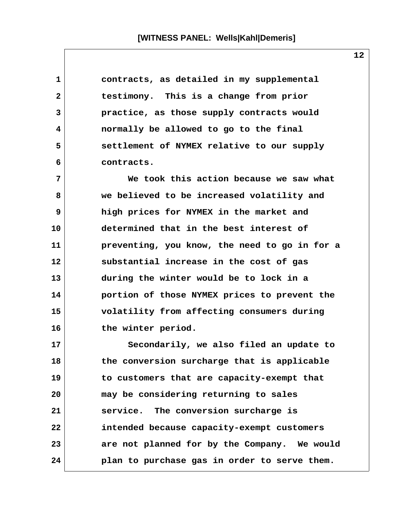**1 contracts, as detailed in my supplemental 2 testimony. This is a change from prior 3 practice, as those supply contracts would 4 normally be allowed to go to the final 5 settlement of NYMEX relative to our supply 6 contracts.**

 **7 We took this action because we saw what 8 we believed to be increased volatility and 9 high prices for NYMEX in the market and 10 determined that in the best interest of 11 preventing, you know, the need to go in for a 12 substantial increase in the cost of gas 13 during the winter would be to lock in a 14 portion of those NYMEX prices to prevent the 15 volatility from affecting consumers during 16 the winter period.**

**17 Secondarily, we also filed an update to 18 the conversion surcharge that is applicable 19 to customers that are capacity-exempt that 20 may be considering returning to sales 21 service. The conversion surcharge is 22 intended because capacity-exempt customers 23 are not planned for by the Company. We would 24 plan to purchase gas in order to serve them.**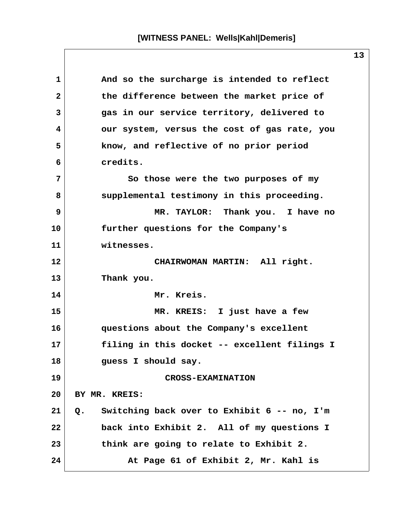1 And so the surcharge is intended to reflect  **2 the difference between the market price of 3 gas in our service territory, delivered to 4 our system, versus the cost of gas rate, you 5 know, and reflective of no prior period 6 credits. 7 So those were the two purposes of my 8 supplemental testimony in this proceeding. 9 MR. TAYLOR: Thank you. I have no 10 further questions for the Company's 11 witnesses. 12 CHAIRWOMAN MARTIN: All right. 13 Thank you. 14 Mr. Kreis. 15 MR. KREIS: I just have a few 16 questions about the Company's excellent 17 filing in this docket -- excellent filings I 18 guess I should say. 19 CROSS-EXAMINATION 20 BY MR. KREIS: 21 Q. Switching back over to Exhibit 6 -- no, I'm 22 back into Exhibit 2. All of my questions I 23 think are going to relate to Exhibit 2. 24 At Page 61 of Exhibit 2, Mr. Kahl is**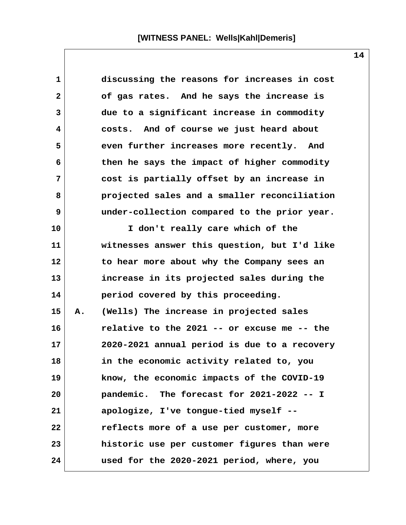| $\mathbf{1}$ |    | discussing the reasons for increases in cost |
|--------------|----|----------------------------------------------|
| $\mathbf{2}$ |    | of gas rates. And he says the increase is    |
| 3            |    | due to a significant increase in commodity   |
| 4            |    | costs. And of course we just heard about     |
| 5            |    | even further increases more recently. And    |
| 6            |    | then he says the impact of higher commodity  |
| 7            |    | cost is partially offset by an increase in   |
| 8            |    | projected sales and a smaller reconciliation |
| 9            |    | under-collection compared to the prior year. |
| 10           |    | I don't really care which of the             |
| 11           |    | witnesses answer this question, but I'd like |
| 12           |    | to hear more about why the Company sees an   |
| 13           |    | increase in its projected sales during the   |
| 14           |    | period covered by this proceeding.           |
| 15           | Α. | (Wells) The increase in projected sales      |
| 16           |    | relative to the 2021 -- or excuse me -- the  |
| 17           |    | 2020-2021 annual period is due to a recovery |
| 18           |    | in the economic activity related to, you     |
| 19           |    | know, the economic impacts of the COVID-19   |
| 20           |    | pandemic. The forecast for 2021-2022 -- I    |
| 21           |    | apologize, I've tongue-tied myself --        |
| 22           |    | reflects more of a use per customer, more    |
| 23           |    | historic use per customer figures than were  |
| 24           |    | used for the 2020-2021 period, where, you    |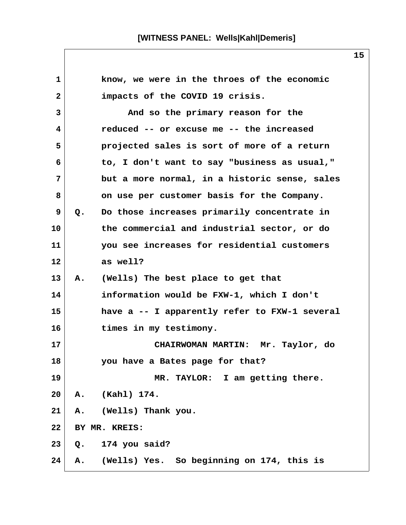| $\mathbf{1}$ | know, we were in the throes of the economic       |
|--------------|---------------------------------------------------|
| $\mathbf{2}$ | impacts of the COVID 19 crisis.                   |
| 3            | And so the primary reason for the                 |
| 4            | reduced -- or excuse me -- the increased          |
| 5            | projected sales is sort of more of a return       |
| 6            | to, I don't want to say "business as usual,"      |
| 7            | but a more normal, in a historic sense, sales     |
| 8            | on use per customer basis for the Company.        |
| 9            | Do those increases primarily concentrate in<br>Q. |
| 10           | the commercial and industrial sector, or do       |
| 11           | you see increases for residential customers       |
| $12 \,$      | as well?                                          |
| 13           | (Wells) The best place to get that<br>Α.          |
| 14           | information would be FXW-1, which I don't         |
| 15           | have a -- I apparently refer to FXW-1 several     |
| 16           | times in my testimony.                            |
| 17           | CHAIRWOMAN MARTIN: Mr. Taylor, do                 |
| 18           | you have a Bates page for that?                   |
| 19           | MR. TAYLOR: I am getting there.                   |
| 20           | (Kahl) 174.<br>Α.                                 |
| 21           | (Wells) Thank you.<br>Α.                          |
| 22           | BY MR. KREIS:                                     |
| 23           | 174 you said?<br>$Q$ .                            |
| 24           | (Wells) Yes. So beginning on 174, this is<br>Α.   |

 $\mathsf{l}$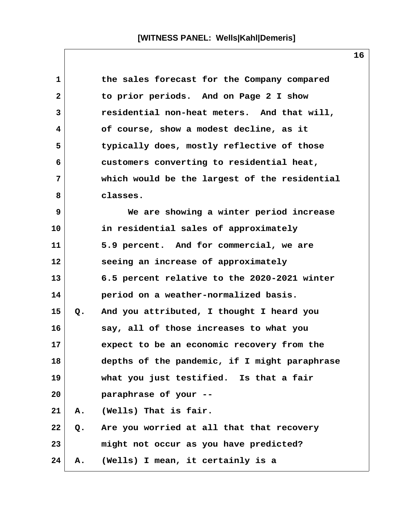| 1              |    | the sales forecast for the Company compared   |  |
|----------------|----|-----------------------------------------------|--|
| $\mathbf{2}$   |    | to prior periods. And on Page 2 I show        |  |
| 3              |    | residential non-heat meters. And that will,   |  |
| 4              |    | of course, show a modest decline, as it       |  |
| 5              |    | typically does, mostly reflective of those    |  |
| 6              |    | customers converting to residential heat,     |  |
| $\overline{7}$ |    | which would be the largest of the residential |  |
| 8              |    | classes.                                      |  |
| 9              |    | We are showing a winter period increase       |  |
| 10             |    | in residential sales of approximately         |  |
| 11             |    | 5.9 percent. And for commercial, we are       |  |
| 12             |    | seeing an increase of approximately           |  |
| 13             |    | 6.5 percent relative to the 2020-2021 winter  |  |
| 14             |    | period on a weather-normalized basis.         |  |
| 15             | Q. | And you attributed, I thought I heard you     |  |
| 16             |    | say, all of those increases to what you       |  |
| 17             |    | expect to be an economic recovery from the    |  |
| 18             |    | depths of the pandemic, if I might paraphrase |  |
| 19             |    | what you just testified. Is that a fair       |  |
| 20             |    | paraphrase of your --                         |  |
| 21             | Α. | (Wells) That is fair.                         |  |
| 22             | Q. | Are you worried at all that that recovery     |  |
| 23             |    | might not occur as you have predicted?        |  |
| 24             | Α. | (Wells) I mean, it certainly is a             |  |

 $\mathsf{l}$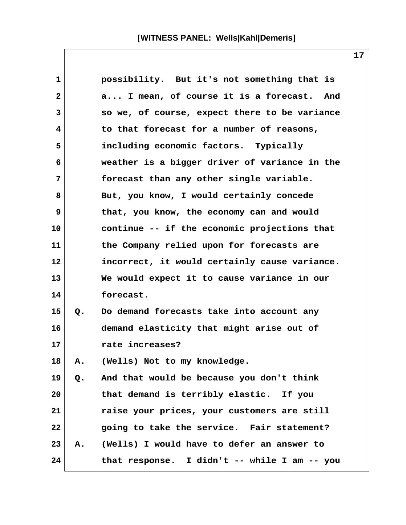| 1              |    | possibility. But it's not something that is   |
|----------------|----|-----------------------------------------------|
| $\overline{2}$ |    | a I mean, of course it is a forecast. And     |
| 3              |    | so we, of course, expect there to be variance |
| 4              |    | to that forecast for a number of reasons,     |
| 5              |    | including economic factors. Typically         |
| 6              |    | weather is a bigger driver of variance in the |
| 7              |    | forecast than any other single variable.      |
| 8              |    | But, you know, I would certainly concede      |
| 9              |    | that, you know, the economy can and would     |
| 10             |    | continue -- if the economic projections that  |
| 11             |    | the Company relied upon for forecasts are     |
| 12             |    | incorrect, it would certainly cause variance. |
| 13             |    | We would expect it to cause variance in our   |
| 14             |    | forecast.                                     |
| 15             | Q. | Do demand forecasts take into account any     |
| 16             |    | demand elasticity that might arise out of     |
| 17             |    | rate increases?                               |
| 18             | Α. | (Wells) Not to my knowledge.                  |
| 19             |    | Q. And that would be because you don't think  |
| 20             |    | that demand is terribly elastic. If you       |
| 21             |    | raise your prices, your customers are still   |
| 22             |    | going to take the service. Fair statement?    |
| 23             |    | A. (Wells) I would have to defer an answer to |
| 24             |    | that response. I didn't -- while I am -- you  |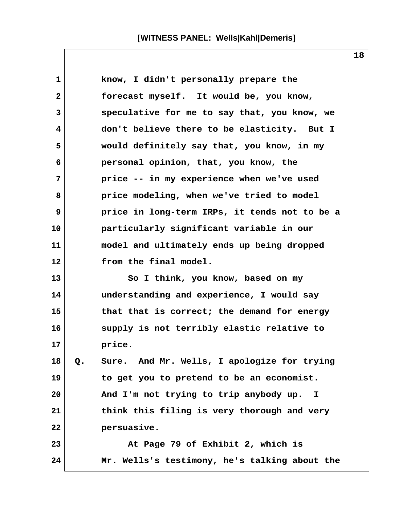1 **know, I didn't personally prepare the 2 forecast myself. It would be, you know, 3 speculative for me to say that, you know, we 4 don't believe there to be elasticity. But I 5 would definitely say that, you know, in my 6 personal opinion, that, you know, the 7 price -- in my experience when we've used 8 price modeling, when we've tried to model 9 price in long-term IRPs, it tends not to be a 10 particularly significant variable in our 11 model and ultimately ends up being dropped 12 from the final model. 13 So I think, you know, based on my 14 understanding and experience, I would say 15 that that is correct; the demand for energy 16 supply is not terribly elastic relative to 17 price. 18 Q. Sure. And Mr. Wells, I apologize for trying 19 to get you to pretend to be an economist. 20 And I'm not trying to trip anybody up. I 21 think this filing is very thorough and very 22 persuasive. 23 At Page 79 of Exhibit 2, which is 24 Mr. Wells's testimony, he's talking about the**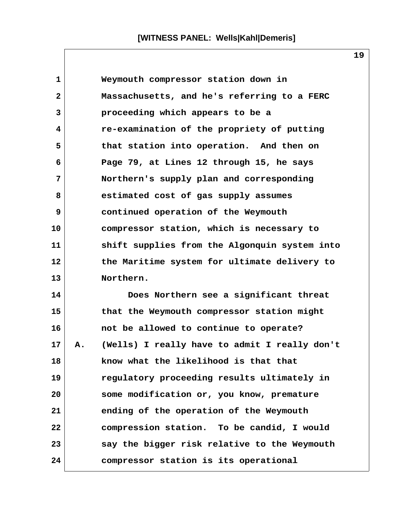| $\mathbf{1}$ |    | Weymouth compressor station down in           |  |
|--------------|----|-----------------------------------------------|--|
| $\mathbf{2}$ |    | Massachusetts, and he's referring to a FERC   |  |
| 3            |    | proceeding which appears to be a              |  |
| 4            |    | re-examination of the propriety of putting    |  |
| 5            |    | that station into operation. And then on      |  |
| 6            |    | Page 79, at Lines 12 through 15, he says      |  |
| 7            |    | Northern's supply plan and corresponding      |  |
| 8            |    | estimated cost of gas supply assumes          |  |
| 9            |    | continued operation of the Weymouth           |  |
| 10           |    | compressor station, which is necessary to     |  |
| 11           |    | shift supplies from the Algonquin system into |  |
| 12           |    | the Maritime system for ultimate delivery to  |  |
| 13           |    | Northern.                                     |  |
| 14           |    | Does Northern see a significant threat        |  |
| 15           |    | that the Weymouth compressor station might    |  |
| 16           |    | not be allowed to continue to operate?        |  |
| 17           | Α. | (Wells) I really have to admit I really don't |  |
| 18           |    | know what the likelihood is that that         |  |
| 19           |    | regulatory proceeding results ultimately in   |  |
| 20           |    | some modification or, you know, premature     |  |
| 21           |    | ending of the operation of the Weymouth       |  |
| 22           |    | compression station. To be candid, I would    |  |

**24 compressor station is its operational**

23 say the bigger risk relative to the Weymouth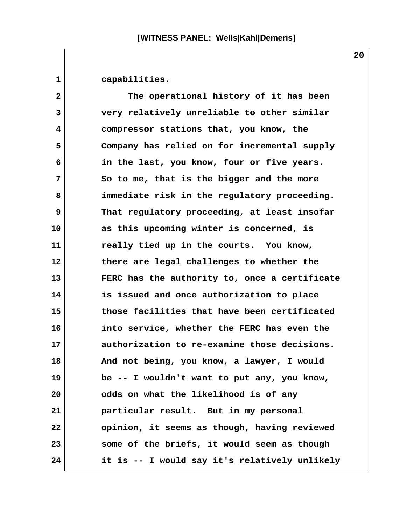**1 capabilities. 2 The operational history of it has been 3 very relatively unreliable to other similar 4 compressor stations that, you know, the 5 Company has relied on for incremental supply 6 in the last, you know, four or five years. 7 So to me, that is the bigger and the more 8 immediate risk in the regulatory proceeding. 9 That regulatory proceeding, at least insofar 10 as this upcoming winter is concerned, is 11 really tied up in the courts. You know, 12 there are legal challenges to whether the 13 FERC has the authority to, once a certificate 14 is issued and once authorization to place 15 those facilities that have been certificated 16 into service, whether the FERC has even the 17 authorization to re-examine those decisions. 18 And not being, you know, a lawyer, I would 19 be -- I wouldn't want to put any, you know, 20 odds on what the likelihood is of any 21 particular result. But in my personal 22 opinion, it seems as though, having reviewed 23 some of the briefs, it would seem as though 24 it is -- I would say it's relatively unlikely**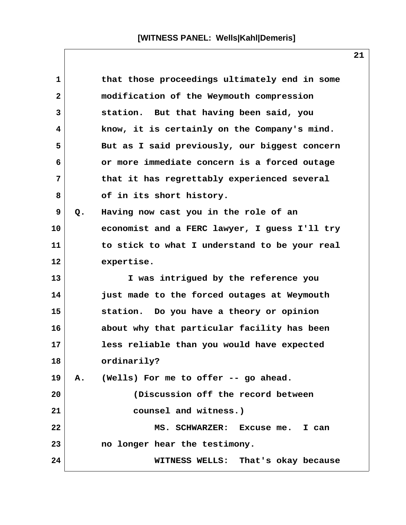| 1            |                | that those proceedings ultimately end in some |
|--------------|----------------|-----------------------------------------------|
| $\mathbf{2}$ |                | modification of the Weymouth compression      |
| 3            |                | station. But that having been said, you       |
| 4            |                | know, it is certainly on the Company's mind.  |
| 5            |                | But as I said previously, our biggest concern |
| 6            |                | or more immediate concern is a forced outage  |
| 7            |                | that it has regrettably experienced several   |
| 8            |                | of in its short history.                      |
| 9            | Q.             | Having now cast you in the role of an         |
| 10           |                | economist and a FERC lawyer, I guess I'll try |
| 11           |                | to stick to what I understand to be your real |
| 12           |                | expertise.                                    |
| 13           |                | I was intrigued by the reference you          |
| 14           |                | just made to the forced outages at Weymouth   |
| 15           |                | station. Do you have a theory or opinion      |
| 16           |                | about why that particular facility has been   |
| 17           |                | less reliable than you would have expected    |
| 18           |                | ordinarily?                                   |
| 19           | $\mathbf{A}$ . | (Wells) For me to offer -- go ahead.          |
| 20           |                | (Discussion off the record between            |
| 21           |                | counsel and witness.)                         |
| 22           |                | MS. SCHWARZER: Excuse me. I can               |
| 23           |                | no longer hear the testimony.                 |
| 24           |                | WITNESS WELLS: That's okay because            |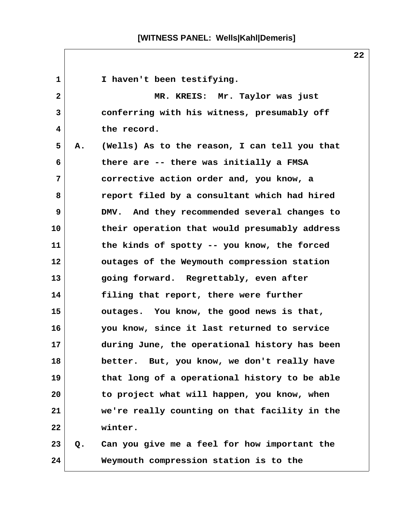1 **I** haven't been testifying.  **2 MR. KREIS: Mr. Taylor was just 3 conferring with his witness, presumably off 4 the record. 5 A. (Wells) As to the reason, I can tell you that 6 there are -- there was initially a FMSA 7 corrective action order and, you know, a 8 report filed by a consultant which had hired 9 DMV. And they recommended several changes to 10 their operation that would presumably address 11 the kinds of spotty -- you know, the forced 12 outages of the Weymouth compression station 13 going forward. Regrettably, even after 14 filing that report, there were further 15 outages. You know, the good news is that, 16 you know, since it last returned to service 17 during June, the operational history has been 18 better. But, you know, we don't really have 19 that long of a operational history to be able 20 to project what will happen, you know, when 21 we're really counting on that facility in the 22 winter. 23 Q. Can you give me a feel for how important the 24 Weymouth compression station is to the**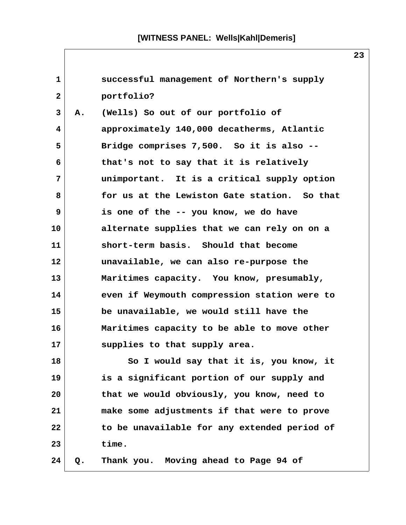**1 successful management of Northern's supply 2 portfolio? 3 A. (Wells) So out of our portfolio of 4 approximately 140,000 decatherms, Atlantic 5 Bridge comprises 7,500. So it is also -- 6 that's not to say that it is relatively 7 unimportant. It is a critical supply option 8 for us at the Lewiston Gate station. So that 9 is one of the -- you know, we do have 10 alternate supplies that we can rely on on a 11 short-term basis. Should that become 12 unavailable, we can also re-purpose the 13 Maritimes capacity. You know, presumably, 14 even if Weymouth compression station were to 15 be unavailable, we would still have the 16 Maritimes capacity to be able to move other 17 supplies to that supply area. 18 So I would say that it is, you know, it 19 is a significant portion of our supply and 20 that we would obviously, you know, need to 21 make some adjustments if that were to prove 22 to be unavailable for any extended period of 23 time. 24 Q. Thank you. Moving ahead to Page 94 of**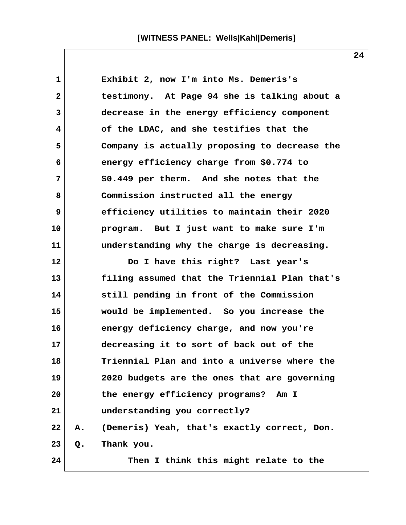**1 Exhibit 2, now I'm into Ms. Demeris's 2 testimony. At Page 94 she is talking about a 3 decrease in the energy efficiency component 4 of the LDAC, and she testifies that the 5 Company is actually proposing to decrease the 6 energy efficiency charge from \$0.774 to 7 \$0.449 per therm. And she notes that the 8 Commission instructed all the energy 9 efficiency utilities to maintain their 2020 10 program. But I just want to make sure I'm 11 understanding why the charge is decreasing. 12 Do I have this right? Last year's 13 filing assumed that the Triennial Plan that's 14 still pending in front of the Commission 15 would be implemented. So you increase the 16 energy deficiency charge, and now you're 17 decreasing it to sort of back out of the 18 Triennial Plan and into a universe where the 19 2020 budgets are the ones that are governing 20 the energy efficiency programs? Am I 21 understanding you correctly? 22 A. (Demeris) Yeah, that's exactly correct, Don. 23 Q. Thank you. 24 Then I think this might relate to the**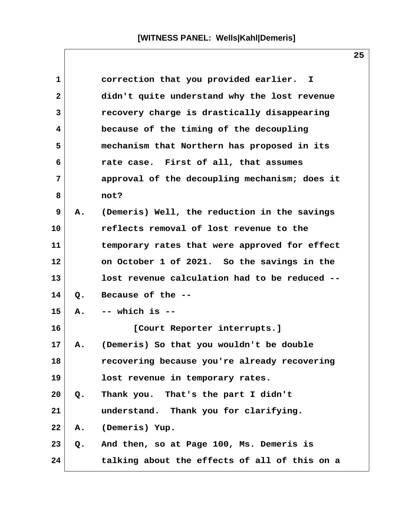| $\mathbf{1}$   |               | correction that you provided earlier. I       |
|----------------|---------------|-----------------------------------------------|
| $\overline{2}$ |               | didn't quite understand why the lost revenue  |
| 3              |               | recovery charge is drastically disappearing   |
| 4              |               | because of the timing of the decoupling       |
| 5              |               | mechanism that Northern has proposed in its   |
| 6              |               | rate case. First of all, that assumes         |
| 7              |               | approval of the decoupling mechanism; does it |
| 8              |               | not?                                          |
| 9              | Α.            | (Demeris) Well, the reduction in the savings  |
| 10             |               | reflects removal of lost revenue to the       |
| 11             |               | temporary rates that were approved for effect |
| 12             |               | on October 1 of 2021. So the savings in the   |
| 13             |               | lost revenue calculation had to be reduced -- |
| 14             | $Q_{\bullet}$ | Because of the --                             |
| 15             | Α.            | $--$ which is $--$                            |
| 16             |               | [Court Reporter interrupts.]                  |
| 17             | Α.            | (Demeris) So that you wouldn't be double      |
| 18             |               | recovering because you're already recovering  |
| 19             |               | lost revenue in temporary rates.              |
| 20             | Q.            | Thank you. That's the part I didn't           |
| 21             |               | understand. Thank you for clarifying.         |
| 22             | Α.            | (Demeris) Yup.                                |
| 23             | Q.            | And then, so at Page 100, Ms. Demeris is      |
| 24             |               | talking about the effects of all of this on a |

 $\mathsf{l}$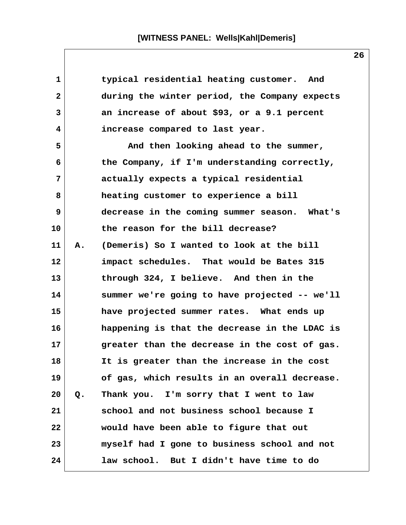| 1            |    | typical residential heating customer. And     |
|--------------|----|-----------------------------------------------|
| $\mathbf{2}$ |    | during the winter period, the Company expects |
| 3            |    | an increase of about \$93, or a 9.1 percent   |
| 4            |    | increase compared to last year.               |
| 5            |    | And then looking ahead to the summer,         |
| 6            |    | the Company, if I'm understanding correctly,  |
| 7            |    | actually expects a typical residential        |
| 8            |    | heating customer to experience a bill         |
| 9            |    | decrease in the coming summer season. What's  |
| 10           |    | the reason for the bill decrease?             |
| 11           | Α. | (Demeris) So I wanted to look at the bill     |
| 12           |    | impact schedules. That would be Bates 315     |
| 13           |    | through 324, I believe. And then in the       |
| 14           |    | summer we're going to have projected -- we'll |
| 15           |    | have projected summer rates. What ends up     |
| 16           |    | happening is that the decrease in the LDAC is |
| 17           |    | greater than the decrease in the cost of gas. |
| 18           |    | It is greater than the increase in the cost   |
| 19           |    | of gas, which results in an overall decrease. |
| 20           | Q. | Thank you. I'm sorry that I went to law       |
| 21           |    | school and not business school because I      |
| 22           |    | would have been able to figure that out       |
| 23           |    | myself had I gone to business school and not  |
| 24           |    | law school. But I didn't have time to do      |

 $\mathsf{l}$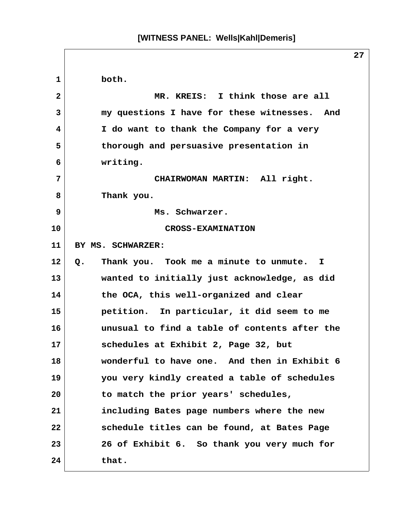**1 both. 2 MR. KREIS: I think those are all 3 my questions I have for these witnesses. And 4 I do want to thank the Company for a very 5 thorough and persuasive presentation in 6 writing. 7 CHAIRWOMAN MARTIN: All right. 8 Thank you. 9 Ms. Schwarzer. 10 CROSS-EXAMINATION 11 BY MS. SCHWARZER: 12 Q. Thank you. Took me a minute to unmute. I 13 wanted to initially just acknowledge, as did 14 the OCA, this well-organized and clear 15 petition. In particular, it did seem to me 16 unusual to find a table of contents after the 17 schedules at Exhibit 2, Page 32, but 18 wonderful to have one. And then in Exhibit 6 19 you very kindly created a table of schedules 20 to match the prior years' schedules, 21 including Bates page numbers where the new 22 schedule titles can be found, at Bates Page 23 26 of Exhibit 6. So thank you very much for 24 that.**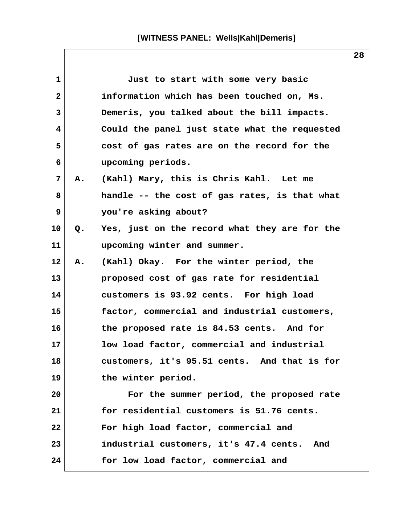| $\mathbf{1}$ |    | Just to start with some very basic            |
|--------------|----|-----------------------------------------------|
| $\mathbf{2}$ |    | information which has been touched on, Ms.    |
| 3            |    | Demeris, you talked about the bill impacts.   |
| 4            |    | Could the panel just state what the requested |
| 5            |    | cost of gas rates are on the record for the   |
| 6            |    | upcoming periods.                             |
| 7            | А. | (Kahl) Mary, this is Chris Kahl. Let me       |
| 8            |    | handle -- the cost of gas rates, is that what |
| 9            |    | you're asking about?                          |
| 10           | Q. | Yes, just on the record what they are for the |
| 11           |    | upcoming winter and summer.                   |
| 12           | Α. | (Kahl) Okay. For the winter period, the       |
| 13           |    | proposed cost of gas rate for residential     |
| 14           |    | customers is 93.92 cents. For high load       |
| 15           |    | factor, commercial and industrial customers,  |
| 16           |    | the proposed rate is 84.53 cents. And for     |
| 17           |    | low load factor, commercial and industrial    |
| 18           |    | customers, it's 95.51 cents. And that is for  |
| 19           |    | the winter period.                            |
| 20           |    | For the summer period, the proposed rate      |
| 21           |    | for residential customers is 51.76 cents.     |
| 22           |    | For high load factor, commercial and          |
| 23           |    | industrial customers, it's 47.4 cents.<br>And |
| 24           |    | for low load factor, commercial and           |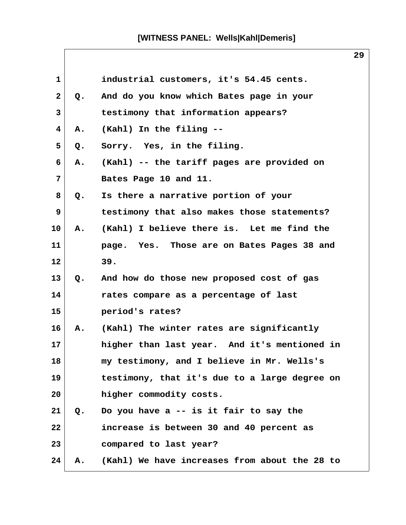| $\mathbf{1}$ |               | industrial customers, it's 54.45 cents.       |
|--------------|---------------|-----------------------------------------------|
| $\mathbf{2}$ | Q.            | And do you know which Bates page in your      |
| 3            |               | testimony that information appears?           |
| 4            | Α.            | (Kahl) In the filing --                       |
| 5            | Q.            | Sorry. Yes, in the filing.                    |
| 6            | Α.            | (Kahl) -- the tariff pages are provided on    |
| 7            |               | Bates Page 10 and 11.                         |
| 8            | Q.            | Is there a narrative portion of your          |
| 9            |               | testimony that also makes those statements?   |
| 10           | A.            | (Kahl) I believe there is. Let me find the    |
| 11           |               | page. Yes. Those are on Bates Pages 38 and    |
| 12           |               | 39.                                           |
| 13           | Q.            | And how do those new proposed cost of gas     |
| 14           |               | rates compare as a percentage of last         |
| 15           |               | period's rates?                               |
| 16           | A.            | (Kahl) The winter rates are significantly     |
| 17           |               | higher than last year. And it's mentioned in  |
| 18           |               | my testimony, and I believe in Mr. Wells's    |
| 19           |               | testimony, that it's due to a large degree on |
| 20           |               | higher commodity costs.                       |
| 21           | $Q_{\bullet}$ | Do you have a -- is it fair to say the        |
| 22           |               | increase is between 30 and 40 percent as      |
| 23           |               | compared to last year?                        |
| 24           | Α.            | (Kahl) We have increases from about the 28 to |

 $\mathsf{l}$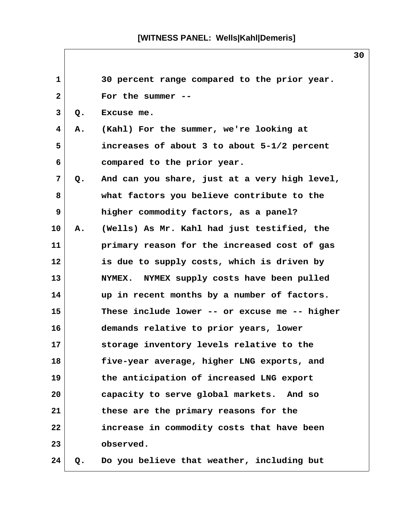| $\mathbf{1}$ |    | 30 percent range compared to the prior year.  |
|--------------|----|-----------------------------------------------|
| $\mathbf{2}$ |    | For the summer                                |
| 3            | Q. | Excuse me.                                    |
| 4            | Α. | (Kahl) For the summer, we're looking at       |
| 5            |    | increases of about 3 to about 5-1/2 percent   |
| 6            |    | compared to the prior year.                   |
| 7            | Q. | And can you share, just at a very high level, |
| 8            |    | what factors you believe contribute to the    |
| 9            |    | higher commodity factors, as a panel?         |
| 10           | Α. | (Wells) As Mr. Kahl had just testified, the   |
| 11           |    | primary reason for the increased cost of gas  |
| 12           |    | is due to supply costs, which is driven by    |
| 13           |    | NYMEX. NYMEX supply costs have been pulled    |
| 14           |    | up in recent months by a number of factors.   |
| 15           |    | These include lower -- or excuse me -- higher |
| 16           |    | demands relative to prior years, lower        |
| 17           |    | storage inventory levels relative to the      |
| 18           |    | five-year average, higher LNG exports, and    |
| 19           |    | the anticipation of increased LNG export      |
| 20           |    | capacity to serve global markets. And so      |
| 21           |    | these are the primary reasons for the         |
| 22           |    | increase in commodity costs that have been    |
| 23           |    | observed.                                     |
| 24           | Q. | Do you believe that weather, including but    |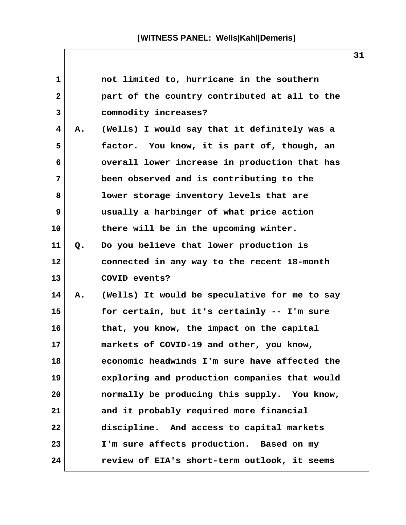| 1            |    | not limited to, hurricane in the southern     |
|--------------|----|-----------------------------------------------|
| $\mathbf{2}$ |    | part of the country contributed at all to the |
| 3            |    | commodity increases?                          |
| 4            | Α. | (Wells) I would say that it definitely was a  |
| 5            |    | factor. You know, it is part of, though, an   |
| 6            |    | overall lower increase in production that has |
| 7            |    | been observed and is contributing to the      |
| 8            |    | lower storage inventory levels that are       |
| 9            |    | usually a harbinger of what price action      |
| 10           |    | there will be in the upcoming winter.         |
| 11           | Q. | Do you believe that lower production is       |
| 12           |    | connected in any way to the recent 18-month   |
| 13           |    | COVID events?                                 |
| 14           | Α. | (Wells) It would be speculative for me to say |
| 15           |    | for certain, but it's certainly -- I'm sure   |
| 16           |    | that, you know, the impact on the capital     |
| 17           |    | markets of COVID-19 and other, you know,      |
| 18           |    | economic headwinds I'm sure have affected the |
| 19           |    | exploring and production companies that would |
| 20           |    | normally be producing this supply. You know,  |
| 21           |    | and it probably required more financial       |
| 22           |    | discipline. And access to capital markets     |
| 23           |    | I'm sure affects production. Based on my      |
| 24           |    | review of EIA's short-term outlook, it seems  |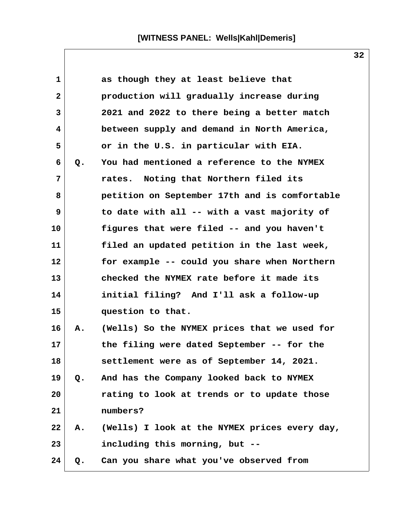| $\mathbf 1$  |    | as though they at least believe that          |  |
|--------------|----|-----------------------------------------------|--|
| $\mathbf{2}$ |    | production will gradually increase during     |  |
| 3            |    | 2021 and 2022 to there being a better match   |  |
| 4            |    | between supply and demand in North America,   |  |
| 5            |    | or in the U.S. in particular with EIA.        |  |
| 6            | Q. | You had mentioned a reference to the NYMEX    |  |
| 7            |    | rates. Noting that Northern filed its         |  |
| 8            |    | petition on September 17th and is comfortable |  |
| 9            |    | to date with all -- with a vast majority of   |  |
| 10           |    | figures that were filed -- and you haven't    |  |
| 11           |    | filed an updated petition in the last week,   |  |
| 12           |    | for example -- could you share when Northern  |  |
| 13           |    | checked the NYMEX rate before it made its     |  |
| 14           |    | initial filing? And I'll ask a follow-up      |  |
| 15           |    | question to that.                             |  |
| 16           | A. | (Wells) So the NYMEX prices that we used for  |  |
| 17           |    | the filing were dated September -- for the    |  |
| 18           |    | settlement were as of September 14, 2021.     |  |
| 19           | Q. | And has the Company looked back to NYMEX      |  |
| 20           |    | rating to look at trends or to update those   |  |
| 21           |    | numbers?                                      |  |
| 22           | Α. | (Wells) I look at the NYMEX prices every day, |  |
| 23           |    | including this morning, but --                |  |
| 24           | Q. | Can you share what you've observed from       |  |

 $\mathsf{l}$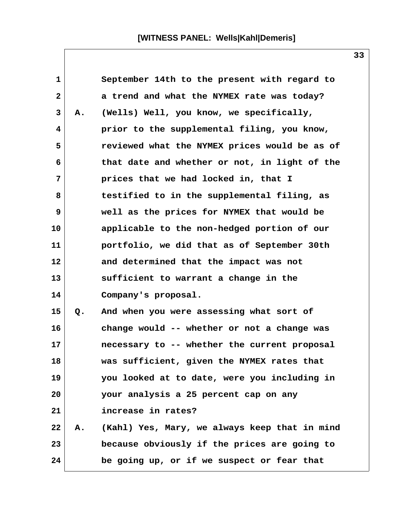| $\mathbf 1$  |    | September 14th to the present with regard to  |  |
|--------------|----|-----------------------------------------------|--|
| $\mathbf{2}$ |    | a trend and what the NYMEX rate was today?    |  |
| 3            | Α. | (Wells) Well, you know, we specifically,      |  |
| 4            |    | prior to the supplemental filing, you know,   |  |
| 5            |    | reviewed what the NYMEX prices would be as of |  |
| 6            |    | that date and whether or not, in light of the |  |
| 7            |    | prices that we had locked in, that I          |  |
| 8            |    | testified to in the supplemental filing, as   |  |
| 9            |    | well as the prices for NYMEX that would be    |  |
| 10           |    | applicable to the non-hedged portion of our   |  |
| 11           |    | portfolio, we did that as of September 30th   |  |
| 12           |    | and determined that the impact was not        |  |
| 13           |    | sufficient to warrant a change in the         |  |
| 14           |    | Company's proposal.                           |  |
| 15           | Q. | And when you were assessing what sort of      |  |
| 16           |    | change would -- whether or not a change was   |  |
| 17           |    | necessary to -- whether the current proposal  |  |
| 18           |    | was sufficient, given the NYMEX rates that    |  |
| 19           |    | you looked at to date, were you including in  |  |
| 20           |    | your analysis a 25 percent cap on any         |  |
| 21           |    | increase in rates?                            |  |
| 22           | Α. | (Kahl) Yes, Mary, we always keep that in mind |  |
| 23           |    | because obviously if the prices are going to  |  |
| 24           |    | be going up, or if we suspect or fear that    |  |
|              |    |                                               |  |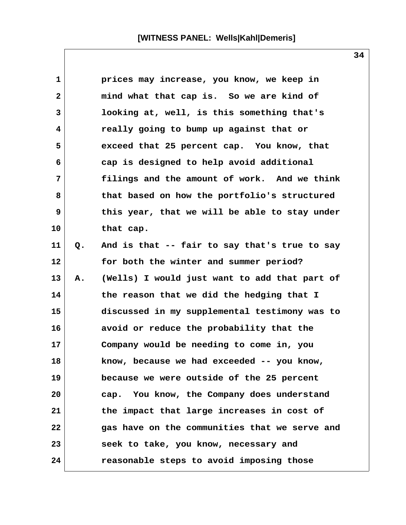**1 prices may increase, you know, we keep in 2 mind what that cap is. So we are kind of 3 looking at, well, is this something that's 4 really going to bump up against that or 5 exceed that 25 percent cap. You know, that 6 cap is designed to help avoid additional 7 filings and the amount of work. And we think 8 that based on how the portfolio's structured 9 this year, that we will be able to stay under 10 that cap. 11 Q. And is that -- fair to say that's true to say 12 for both the winter and summer period? 13 A. (Wells) I would just want to add that part of 14 the reason that we did the hedging that I 15 discussed in my supplemental testimony was to 16 avoid or reduce the probability that the 17 Company would be needing to come in, you 18 know, because we had exceeded -- you know, 19 because we were outside of the 25 percent 20 cap. You know, the Company does understand 21 the impact that large increases in cost of 22 gas have on the communities that we serve and 23 seek to take, you know, necessary and 24 reasonable steps to avoid imposing those**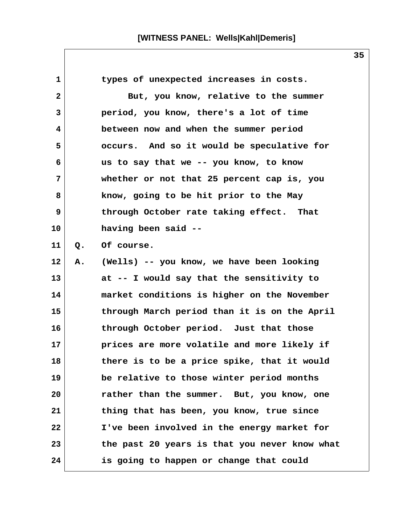1 types of unexpected increases in costs. **2** But, you know, relative to the summer  **3 period, you know, there's a lot of time 4 between now and when the summer period 5 occurs. And so it would be speculative for 6 us to say that we -- you know, to know 7 whether or not that 25 percent cap is, you 8 know, going to be hit prior to the May 9 through October rate taking effect. That 10 having been said -- 11 Q. Of course. 12 A. (Wells) -- you know, we have been looking 13 at -- I would say that the sensitivity to 14 market conditions is higher on the November 15 through March period than it is on the April 16 through October period. Just that those 17 prices are more volatile and more likely if 18 there is to be a price spike, that it would 19 be relative to those winter period months 20 rather than the summer. But, you know, one 21 thing that has been, you know, true since 22 I've been involved in the energy market for 23 the past 20 years is that you never know what 24 is going to happen or change that could**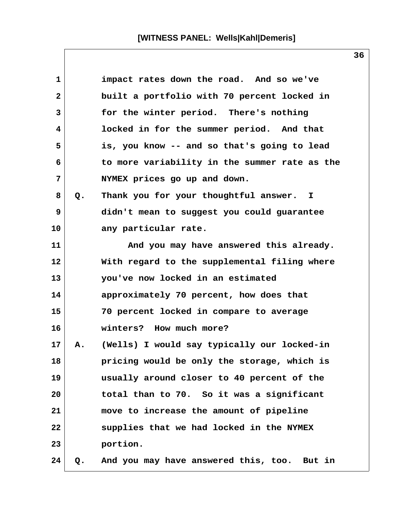**1 impact rates down the road. And so we've 2 built a portfolio with 70 percent locked in 3 for the winter period. There's nothing 4 locked in for the summer period. And that 5 is, you know -- and so that's going to lead 6 to more variability in the summer rate as the 7 NYMEX prices go up and down. 8 Q. Thank you for your thoughtful answer. I 9 didn't mean to suggest you could guarantee 10 any particular rate. 11 And you may have answered this already. 12 With regard to the supplemental filing where 13 you've now locked in an estimated 14 approximately 70 percent, how does that 15 70 percent locked in compare to average 16 winters? How much more? 17 A. (Wells) I would say typically our locked-in 18 pricing would be only the storage, which is 19 usually around closer to 40 percent of the 20 total than to 70. So it was a significant 21 move to increase the amount of pipeline 22 supplies that we had locked in the NYMEX 23 portion. 24 Q. And you may have answered this, too. But in**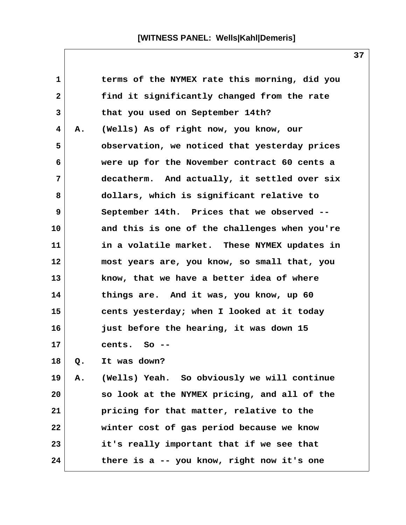| $\mathbf{1}$ |    | terms of the NYMEX rate this morning, did you |
|--------------|----|-----------------------------------------------|
| $\mathbf{2}$ |    | find it significantly changed from the rate   |
| 3            |    | that you used on September 14th?              |
| 4            | Α. | (Wells) As of right now, you know, our        |
| 5            |    | observation, we noticed that yesterday prices |
| 6            |    | were up for the November contract 60 cents a  |
| 7            |    | decatherm. And actually, it settled over six  |
| 8            |    | dollars, which is significant relative to     |
| 9            |    | September 14th. Prices that we observed --    |
| 10           |    | and this is one of the challenges when you're |
| 11           |    | in a volatile market. These NYMEX updates in  |
| 12           |    | most years are, you know, so small that, you  |
| 13           |    | know, that we have a better idea of where     |
| 14           |    | things are. And it was, you know, up 60       |
| 15           |    | cents yesterday; when I looked at it today    |
| 16           |    | just before the hearing, it was down 15       |
| 17           |    | cents.<br>So --                               |
| 18           | Q. | It was down?                                  |
| 19           | Α. | (Wells) Yeah. So obviously we will continue   |
| 20           |    | so look at the NYMEX pricing, and all of the  |
| 21           |    | pricing for that matter, relative to the      |
| 22           |    | winter cost of gas period because we know     |
| 23           |    | it's really important that if we see that     |
| 24           |    | there is a -- you know, right now it's one    |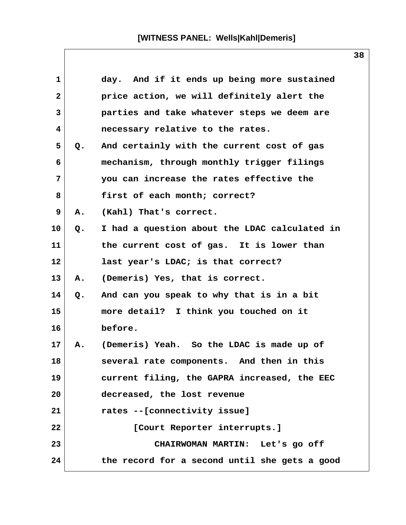| 1      |    | day. And if it ends up being more sustained   |
|--------|----|-----------------------------------------------|
| 2      |    | price action, we will definitely alert the    |
| 3      |    | parties and take whatever steps we deem are   |
| 4      |    | necessary relative to the rates.              |
| 5      | Q. | And certainly with the current cost of gas    |
| 6      |    | mechanism, through monthly trigger filings    |
| 7      |    | you can increase the rates effective the      |
| 8      |    | first of each month; correct?                 |
| 9      | Α. | (Kahl) That's correct.                        |
| 10     | Q. | I had a question about the LDAC calculated in |
| 11     |    | the current cost of gas. It is lower than     |
| 12     |    | last year's LDAC; is that correct?            |
| 13     | Α. | (Demeris) Yes, that is correct.               |
| 14     | Q. | And can you speak to why that is in a bit     |
| 15     |    | more detail? I think you touched on it        |
| 16     |    | before.                                       |
| $17\,$ | А. | (Demeris) Yeah. So the LDAC is made up of     |
| 18     |    | several rate components. And then in this     |
| 19     |    | current filing, the GAPRA increased, the EEC  |
| 20     |    | decreased, the lost revenue                   |
| 21     |    | rates --[connectivity issue]                  |
| 22     |    | [Court Reporter interrupts.]                  |
| 23     |    | CHAIRWOMAN MARTIN: Let's go off               |
| 24     |    | the record for a second until she gets a good |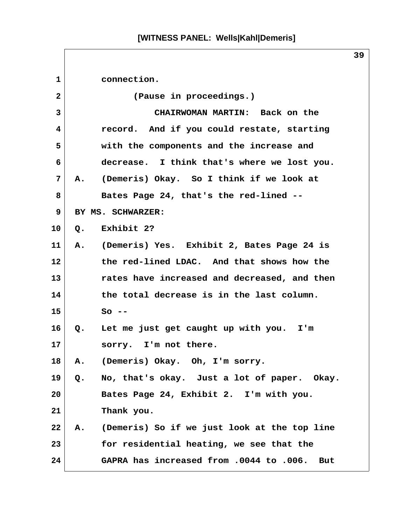| $\mathbf{1}$ | connection.                                              |
|--------------|----------------------------------------------------------|
| $\mathbf{2}$ | (Pause in proceedings.)                                  |
| 3            | CHAIRWOMAN MARTIN: Back on the                           |
| 4            | record. And if you could restate, starting               |
| 5            | with the components and the increase and                 |
| 6            | decrease. I think that's where we lost you.              |
| 7            | (Demeris) Okay. So I think if we look at<br>A.           |
| 8            | Bates Page 24, that's the red-lined --                   |
| 9            | BY MS. SCHWARZER:                                        |
| 10           | Q. Exhibit 2?                                            |
| 11           | A. (Demeris) Yes. Exhibit 2, Bates Page 24 is            |
| 12           | the red-lined LDAC. And that shows how the               |
| 13           | rates have increased and decreased, and then             |
| 14           | the total decrease is in the last column.                |
| 15           | $So --$                                                  |
| 16           | $Q_{\bullet}$<br>Let me just get caught up with you. I'm |
| 17           | sorry. I'm not there.                                    |
| 18           | (Demeris) Okay. Oh, I'm sorry.<br>Α.                     |
| 19           | No, that's okay. Just a lot of paper. Okay.<br>Q.        |
| 20           | Bates Page 24, Exhibit 2. I'm with you.                  |
| 21           | Thank you.                                               |
| 22           | (Demeris) So if we just look at the top line<br>Α.       |
| 23           | for residential heating, we see that the                 |
| 24           | GAPRA has increased from .0044 to .006. But              |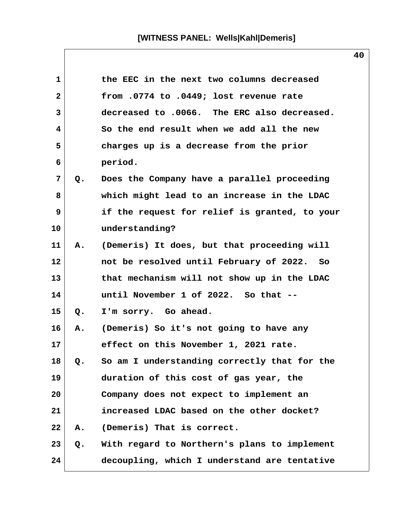| 1               |    | the EEC in the next two columns decreased     |
|-----------------|----|-----------------------------------------------|
| $\mathbf{2}$    |    | from .0774 to .0449; lost revenue rate        |
| 3               |    | decreased to .0066. The ERC also decreased.   |
| 4               |    | So the end result when we add all the new     |
| 5               |    | charges up is a decrease from the prior       |
| 6               |    | period.                                       |
| 7               | Q. | Does the Company have a parallel proceeding   |
| 8               |    | which might lead to an increase in the LDAC   |
| 9               |    | if the request for relief is granted, to your |
| 10 <sub>1</sub> |    | understanding?                                |
| 11              | Α. | (Demeris) It does, but that proceeding will   |
| $12 \,$         |    | not be resolved until February of 2022. So    |
| 13              |    | that mechanism will not show up in the LDAC   |
| 14              |    | until November 1 of 2022. So that --          |
| 15              | Q. | I'm sorry. Go ahead.                          |
| 16              | Α. | (Demeris) So it's not going to have any       |
| 17              |    | effect on this November 1, 2021 rate.         |
| 18              | Q. | So am I understanding correctly that for the  |
| 19              |    | duration of this cost of gas year, the        |
| 20              |    | Company does not expect to implement an       |
| 21              |    | increased LDAC based on the other docket?     |
| 22              | Α. | (Demeris) That is correct.                    |
| 23              | Q. | With regard to Northern's plans to implement  |
| 24              |    | decoupling, which I understand are tentative  |

 $\mathsf{l}$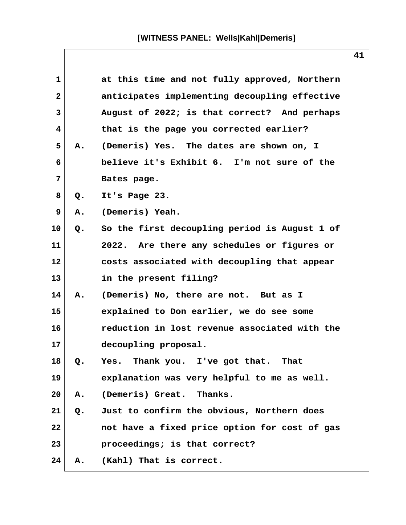| 1            |    | at this time and not fully approved, Northern |
|--------------|----|-----------------------------------------------|
| $\mathbf{2}$ |    | anticipates implementing decoupling effective |
| 3            |    | August of 2022; is that correct? And perhaps  |
| 4            |    | that is the page you corrected earlier?       |
| 5            | Α. | (Demeris) Yes. The dates are shown on, I      |
| 6            |    | believe it's Exhibit 6. I'm not sure of the   |
| 7            |    | Bates page.                                   |
| 8            | Q. | It's Page 23.                                 |
| 9            | Α. | (Demeris) Yeah.                               |
| 10           | Q. | So the first decoupling period is August 1 of |
| 11           |    | 2022. Are there any schedules or figures or   |
| 12           |    | costs associated with decoupling that appear  |
| 13           |    | in the present filing?                        |
| 14           | Α. | (Demeris) No, there are not. But as I         |
| 15           |    | explained to Don earlier, we do see some      |
| 16           |    | reduction in lost revenue associated with the |
| 17           |    | decoupling proposal.                          |
| 18           | Q. | Yes. Thank you. I've got that. That           |
| 19           |    | explanation was very helpful to me as well.   |
| 20           | Α. | Thanks.<br>(Demeris) Great.                   |
| 21           | Q. | Just to confirm the obvious, Northern does    |
| 22           |    | not have a fixed price option for cost of gas |
| 23           |    | proceedings; is that correct?                 |
| 24           | Α. | (Kahl) That is correct.                       |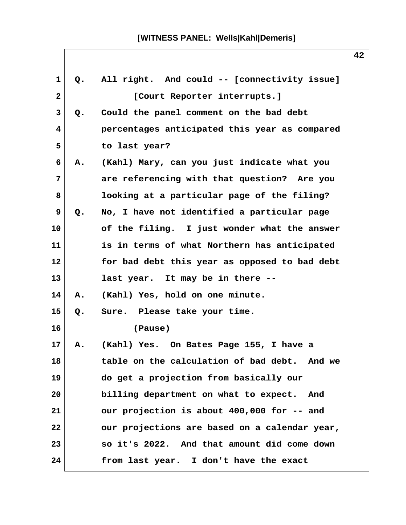| $\mathbf{1}$ | Q. | All right. And could -- [connectivity issue]           |
|--------------|----|--------------------------------------------------------|
| $\mathbf{2}$ |    | [Court Reporter interrupts.]                           |
| 3            | Q. | Could the panel comment on the bad debt                |
| 4            |    | percentages anticipated this year as compared          |
| 5            |    | to last year?                                          |
| 6            | Α. | (Kahl) Mary, can you just indicate what you            |
| 7            |    | are referencing with that question? Are you            |
| 8            |    | looking at a particular page of the filing?            |
| 9            | Q. | No, I have not identified a particular page            |
| 10           |    | of the filing. I just wonder what the answer           |
| 11           |    | is in terms of what Northern has anticipated           |
| 12           |    | for bad debt this year as opposed to bad debt          |
| 13           |    | last year. It may be in there --                       |
| 14           | Α. | (Kahl) Yes, hold on one minute.                        |
| 15           | Q. | Sure. Please take your time.                           |
| 16           |    | (Pause)                                                |
| 17           | Α. | (Kahl) Yes. On Bates Page 155, I have a                |
| 18           |    | table on the calculation of bad debt.<br><b>And we</b> |
| 19           |    | do get a projection from basically our                 |
| 20           |    | billing department on what to expect. And              |
| 21           |    | our projection is about 400,000 for -- and             |
| 22           |    | our projections are based on a calendar year,          |
| 23           |    | so it's 2022. And that amount did come down            |
| 24           |    | from last year. I don't have the exact                 |
|              |    |                                                        |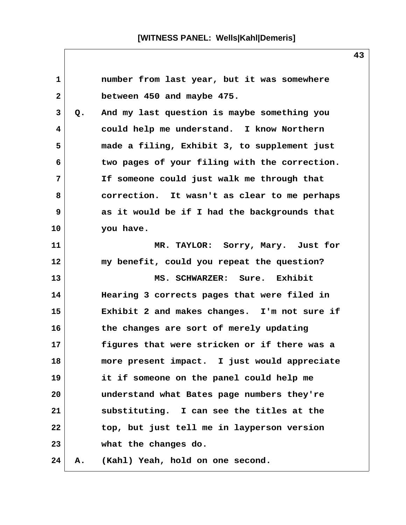**1 number from last year, but it was somewhere 2 between 450 and maybe 475. 3 Q. And my last question is maybe something you 4 could help me understand. I know Northern 5 made a filing, Exhibit 3, to supplement just 6 two pages of your filing with the correction. 7 If someone could just walk me through that 8 correction. It wasn't as clear to me perhaps 9 as it would be if I had the backgrounds that 10 you have. 11 MR. TAYLOR: Sorry, Mary. Just for 12 my benefit, could you repeat the question? 13 MS. SCHWARZER: Sure. Exhibit 14 Hearing 3 corrects pages that were filed in 15 Exhibit 2 and makes changes. I'm not sure if 16 the changes are sort of merely updating 17 figures that were stricken or if there was a 18 more present impact. I just would appreciate 19 it if someone on the panel could help me 20 understand what Bates page numbers they're 21 substituting. I can see the titles at the 22 top, but just tell me in layperson version 23 what the changes do. 24 A. (Kahl) Yeah, hold on one second.**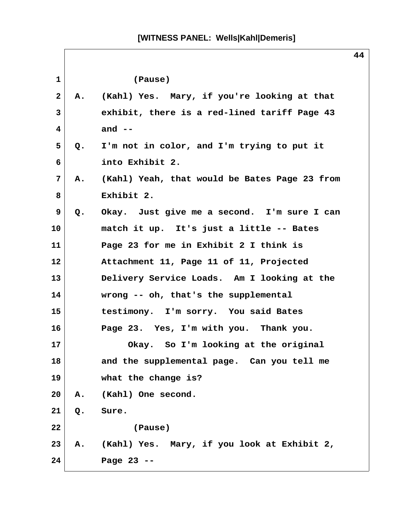| $\mathbf{1}$ |    | (Pause)                                       |
|--------------|----|-----------------------------------------------|
| $\mathbf{2}$ | А. | (Kahl) Yes. Mary, if you're looking at that   |
| 3            |    | exhibit, there is a red-lined tariff Page 43  |
| 4            |    | and $--$                                      |
| 5            | Q. | I'm not in color, and I'm trying to put it    |
| 6            |    | into Exhibit 2.                               |
| 7            | Α. | (Kahl) Yeah, that would be Bates Page 23 from |
| 8            |    | Exhibit 2.                                    |
| 9            | Q. | Okay. Just give me a second. I'm sure I can   |
| 10           |    | match it up. It's just a little -- Bates      |
| 11           |    | Page 23 for me in Exhibit 2 I think is        |
| 12           |    | Attachment 11, Page 11 of 11, Projected       |
| 13           |    | Delivery Service Loads. Am I looking at the   |
| 14           |    | wrong -- oh, that's the supplemental          |
| 15           |    | testimony. I'm sorry. You said Bates          |
| 16           |    | Page 23. Yes, I'm with you. Thank you.        |
| 17           |    | Okay. So I'm looking at the original          |
| 18           |    | and the supplemental page. Can you tell me    |
| 19           |    | what the change is?                           |
| 20           | Α. | (Kahl) One second.                            |
| 21           | Q. | Sure.                                         |
| 22           |    | (Pause)                                       |
| 23           | Α. | (Kahl) Yes. Mary, if you look at Exhibit 2,   |
| 24           |    | Page 23 --                                    |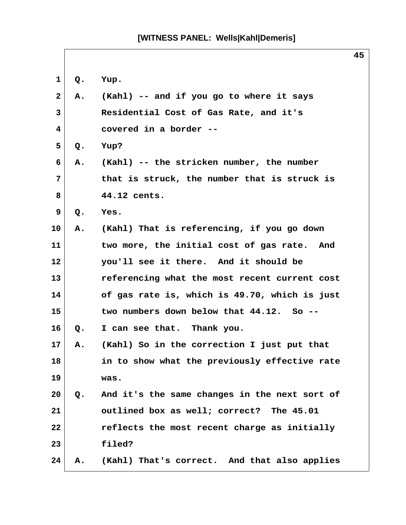| 1            | Q.            | Yup.                                          |
|--------------|---------------|-----------------------------------------------|
| $\mathbf{2}$ | А.            | (Kahl) -- and if you go to where it says      |
| 3            |               | Residential Cost of Gas Rate, and it's        |
| 4            |               | covered in a border --                        |
| 5            | Q.            | Yup?                                          |
| 6            | Α.            | (Kahl) -- the stricken number, the number     |
| 7            |               | that is struck, the number that is struck is  |
| 8            |               | 44.12 cents.                                  |
| 9            | Q.            | Yes.                                          |
| 10           | Α.            | (Kahl) That is referencing, if you go down    |
| 11           |               | two more, the initial cost of gas rate. And   |
| 12           |               | you'll see it there. And it should be         |
| 13           |               | referencing what the most recent current cost |
| 14           |               | of gas rate is, which is 49.70, which is just |
| 15           |               | two numbers down below that 44.12. So --      |
| 16           | $Q_{\bullet}$ | I can see that. Thank you.                    |
| 17           | А.            | (Kahl) So in the correction I just put that   |
| 18           |               | in to show what the previously effective rate |
| 19           |               | was.                                          |
| 20           | $Q_{\bullet}$ | And it's the same changes in the next sort of |
| 21           |               | outlined box as well; correct? The 45.01      |
| 22           |               | reflects the most recent charge as initially  |
| 23           |               | filed?                                        |
| 24           | Α.            | (Kahl) That's correct. And that also applies  |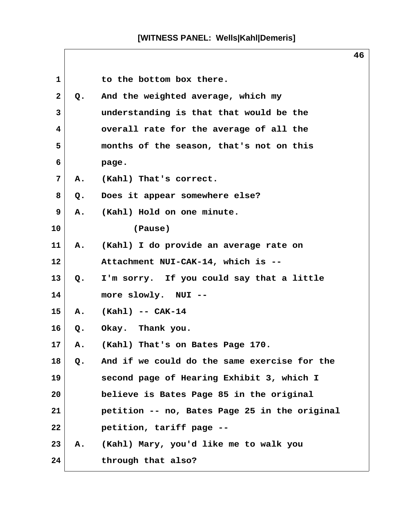| 1            |       | to the bottom box there.                      |
|--------------|-------|-----------------------------------------------|
| $\mathbf{2}$ | Q.    | And the weighted average, which my            |
| 3            |       | understanding is that that would be the       |
| 4            |       | overall rate for the average of all the       |
| 5            |       | months of the season, that's not on this      |
| 6            |       | page.                                         |
| 7            | A.    | (Kahl) That's correct.                        |
| 8            | Q.    | Does it appear somewhere else?                |
| 9            | Α.    | (Kahl) Hold on one minute.                    |
| 10           |       | (Pause)                                       |
| 11           | Α.    | (Kahl) I do provide an average rate on        |
| 12           |       | Attachment NUI-CAK-14, which is --            |
| 13           | Q.    | I'm sorry. If you could say that a little     |
| 14           |       | more slowly. NUI --                           |
| 15           | A.    | $(Kahl)$ -- $CAK-14$                          |
| 16           |       | Q. Okay. Thank you.                           |
| 17           | Α.    | (Kahl) That's on Bates Page 170.              |
| 18           | $Q$ . | And if we could do the same exercise for the  |
| 19           |       | second page of Hearing Exhibit 3, which I     |
| 20           |       | believe is Bates Page 85 in the original      |
| 21           |       | petition -- no, Bates Page 25 in the original |
| 22           |       | petition, tariff page --                      |
| 23           | А.    | (Kahl) Mary, you'd like me to walk you        |
| 24           |       | through that also?                            |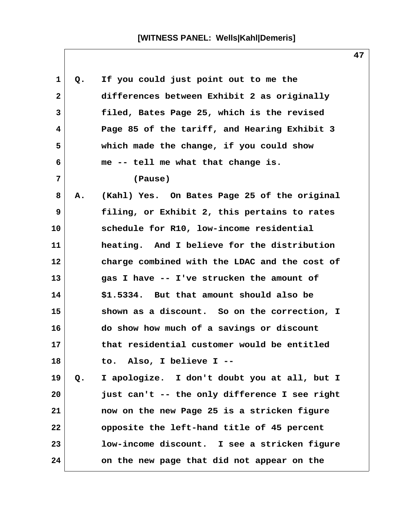| $\mathbf 1$    | Q. | If you could just point out to me the         |
|----------------|----|-----------------------------------------------|
| $\overline{2}$ |    | differences between Exhibit 2 as originally   |
| 3              |    | filed, Bates Page 25, which is the revised    |
| 4              |    | Page 85 of the tariff, and Hearing Exhibit 3  |
| 5              |    | which made the change, if you could show      |
| 6              |    | me -- tell me what that change is.            |
| 7              |    | (Pause)                                       |
| 8              | Α. | (Kahl) Yes. On Bates Page 25 of the original  |
| 9              |    | filing, or Exhibit 2, this pertains to rates  |
| 10             |    | schedule for R10, low-income residential      |
| 11             |    | heating. And I believe for the distribution   |
| 12             |    | charge combined with the LDAC and the cost of |
| 13             |    | gas I have -- I've strucken the amount of     |
| 14             |    | \$1.5334. But that amount should also be      |
| 15             |    | shown as a discount. So on the correction, I  |
| 16             |    | do show how much of a savings or discount     |
| 17             |    | that residential customer would be entitled   |
| 18             |    | to. Also, I believe I --                      |
| 19             | Q. | I apologize. I don't doubt you at all, but I  |
| 20             |    | just can't -- the only difference I see right |
| 21             |    | now on the new Page 25 is a stricken figure   |
| 22             |    | opposite the left-hand title of 45 percent    |
| 23             |    | low-income discount. I see a stricken figure  |
| 24             |    | on the new page that did not appear on the    |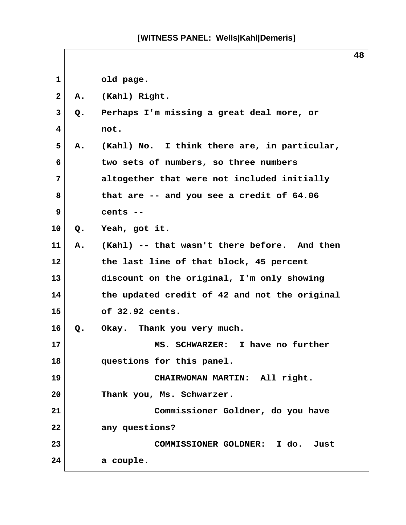1 old page.  **2 A. (Kahl) Right. 3 Q. Perhaps I'm missing a great deal more, or 4 not. 5 A. (Kahl) No. I think there are, in particular, 6 two sets of numbers, so three numbers 7 altogether that were not included initially 8 that are -- and you see a credit of 64.06 9 cents -- 10 Q. Yeah, got it. 11 A. (Kahl) -- that wasn't there before. And then 12 the last line of that block, 45 percent 13 discount on the original, I'm only showing 14 the updated credit of 42 and not the original 15 of 32.92 cents. 16 Q. Okay. Thank you very much. 17 MS. SCHWARZER: I have no further 18 questions for this panel. 19 CHAIRWOMAN MARTIN: All right. 20 Thank you, Ms. Schwarzer. 21 Commissioner Goldner, do you have 22 any questions? 23 COMMISSIONER GOLDNER: I do. Just 24 a couple.**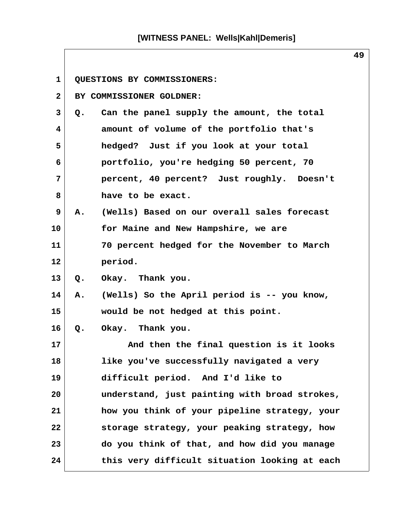| 1              | QUESTIONS BY COMMISSIONERS:                       |
|----------------|---------------------------------------------------|
| $\mathbf{2}$   | BY COMMISSIONER GOLDNER:                          |
| 3              | Can the panel supply the amount, the total<br>Q.  |
| 4              | amount of volume of the portfolio that's          |
| 5              | hedged? Just if you look at your total            |
| 6              | portfolio, you're hedging 50 percent, 70          |
| $7\phantom{.}$ | percent, 40 percent? Just roughly. Doesn't        |
| 8              | have to be exact.                                 |
| 9              | A. (Wells) Based on our overall sales forecast    |
| 10             | for Maine and New Hampshire, we are               |
| 11             | 70 percent hedged for the November to March       |
| 12             | period.                                           |
| 13             | Okay. Thank you.<br>$Q_{\bullet}$                 |
| 14             | (Wells) So the April period is -- you know,<br>Α. |
| 15             | would be not hedged at this point.                |
| 16             | Okay. Thank you.<br>Q.                            |
| 17             | And then the final question is it looks           |
| 18             | like you've successfully navigated a very         |
| 19             | difficult period. And I'd like to                 |
| 20             | understand, just painting with broad strokes,     |
| 21             | how you think of your pipeline strategy, your     |
| 22             | storage strategy, your peaking strategy, how      |
| 23             | do you think of that, and how did you manage      |
| 24             | this very difficult situation looking at each     |

 $\mathsf{l}$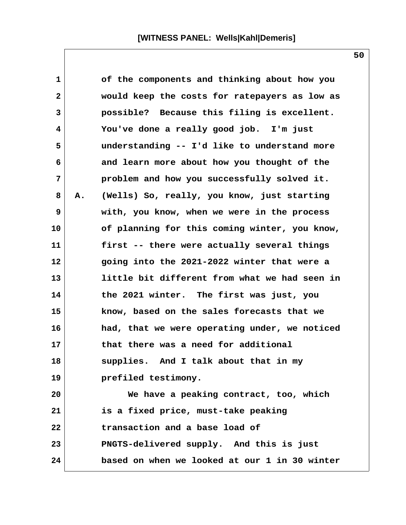| $\mathbf{1}$ |    | of the components and thinking about how you  |
|--------------|----|-----------------------------------------------|
| $\mathbf{2}$ |    | would keep the costs for ratepayers as low as |
| 3            |    | possible? Because this filing is excellent.   |
| 4            |    | You've done a really good job. I'm just       |
| 5            |    | understanding -- I'd like to understand more  |
| 6            |    | and learn more about how you thought of the   |
| 7            |    | problem and how you successfully solved it.   |
| 8            | Α. | (Wells) So, really, you know, just starting   |
| 9            |    | with, you know, when we were in the process   |
| 10           |    | of planning for this coming winter, you know, |
| 11           |    | first -- there were actually several things   |
| 12           |    | going into the 2021-2022 winter that were a   |
| 13           |    | little bit different from what we had seen in |
| 14           |    | the 2021 winter. The first was just, you      |
| 15           |    | know, based on the sales forecasts that we    |
| 16           |    | had, that we were operating under, we noticed |
| 17           |    | that there was a need for additional          |
| 18           |    | supplies. And I talk about that in my         |
| 19           |    | prefiled testimony.                           |
| 20           |    | We have a peaking contract, too, which        |
| 21           |    | is a fixed price, must-take peaking           |
| 22           |    | transaction and a base load of                |
| 23           |    | PNGTS-delivered supply. And this is just      |
| 24           |    | based on when we looked at our 1 in 30 winter |

 $\mathsf{l}$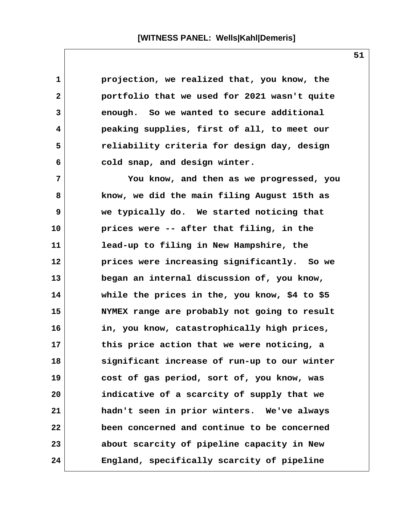**1 projection, we realized that, you know, the 2 portfolio that we used for 2021 wasn't quite 3 enough. So we wanted to secure additional 4 peaking supplies, first of all, to meet our 5 reliability criteria for design day, design 6 cold snap, and design winter. 7 You know, and then as we progressed, you 8 know, we did the main filing August 15th as 9 we typically do. We started noticing that 10 prices were -- after that filing, in the 11 lead-up to filing in New Hampshire, the 12 prices were increasing significantly. So we 13 began an internal discussion of, you know, 14 while the prices in the, you know, \$4 to \$5 15 NYMEX range are probably not going to result 16 in, you know, catastrophically high prices, 17 this price action that we were noticing, a 18 significant increase of run-up to our winter 19 cost of gas period, sort of, you know, was 20 indicative of a scarcity of supply that we 21 hadn't seen in prior winters. We've always 22 been concerned and continue to be concerned 23 about scarcity of pipeline capacity in New 24 England, specifically scarcity of pipeline**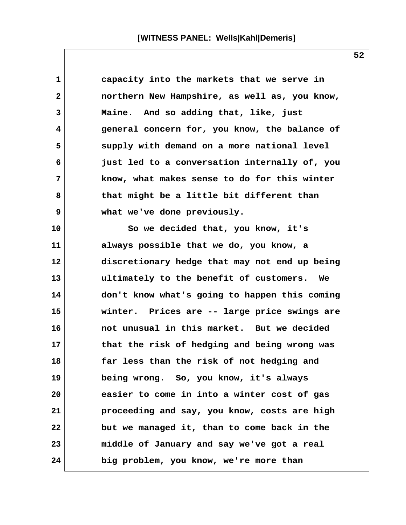| 1  | capacity into the markets that we serve in           |
|----|------------------------------------------------------|
| 2  | northern New Hampshire, as well as, you know,        |
| 3  | Maine. And so adding that, like, just                |
| 4  | general concern for, you know, the balance of        |
| 5  | supply with demand on a more national level          |
| 6  | just led to a conversation internally of, you        |
| 7  | know, what makes sense to do for this winter         |
| 8  | that might be a little bit different than            |
| 9  | what we've done previously.                          |
| 10 | So we decided that, you know, it's                   |
| 11 | always possible that we do, you know, a              |
| 12 | discretionary hedge that may not end up being        |
| 13 | ultimately to the benefit of customers.<br><b>We</b> |
| 14 | don't know what's going to happen this coming        |
| 15 | winter. Prices are -- large price swings are         |
| 16 | not unusual in this market. But we decided           |
| 17 | that the risk of hedging and being wrong was         |
| 18 | far less than the risk of not hedging and            |
| 19 | being wrong. So, you know, it's always               |
| 20 | easier to come in into a winter cost of gas          |
| 21 | proceeding and say, you know, costs are high         |
| 22 | but we managed it, than to come back in the          |
| 23 | middle of January and say we've got a real           |
| 24 | big problem, you know, we're more than               |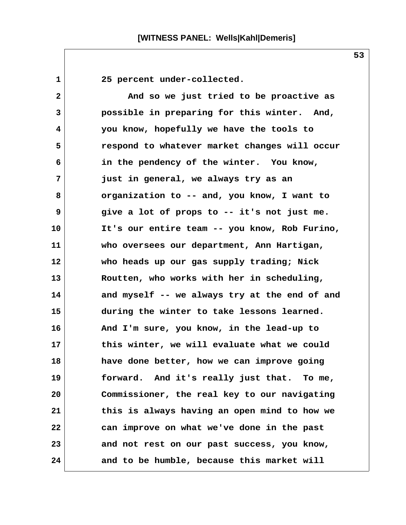1 25 percent under-collected.

 **2 And so we just tried to be proactive as 3 possible in preparing for this winter. And, 4 you know, hopefully we have the tools to 5 respond to whatever market changes will occur 6 in the pendency of the winter. You know, 7 just in general, we always try as an 8 organization to -- and, you know, I want to 9 give a lot of props to -- it's not just me. 10 It's our entire team -- you know, Rob Furino, 11 who oversees our department, Ann Hartigan, 12 who heads up our gas supply trading; Nick 13 Routten, who works with her in scheduling, 14 and myself -- we always try at the end of and 15 during the winter to take lessons learned. 16 And I'm sure, you know, in the lead-up to 17 this winter, we will evaluate what we could 18 have done better, how we can improve going 19 forward. And it's really just that. To me, 20 Commissioner, the real key to our navigating 21 this is always having an open mind to how we 22 can improve on what we've done in the past 23 and not rest on our past success, you know, 24 and to be humble, because this market will**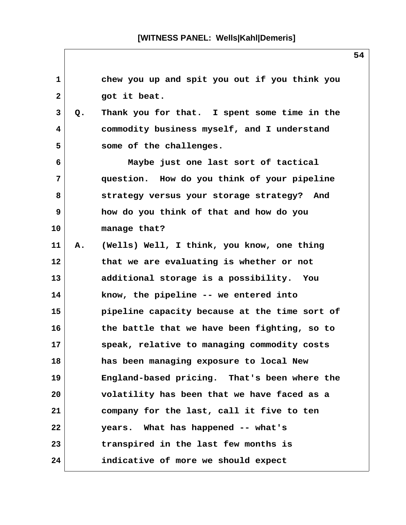**1 chew you up and spit you out if you think you** 2 got it beat.  **3 Q. Thank you for that. I spent some time in the 4 commodity business myself, and I understand 5 some of the challenges. 6 Maybe just one last sort of tactical 7 question. How do you think of your pipeline 8 strategy versus your storage strategy? And 9 how do you think of that and how do you 10 manage that? 11 A. (Wells) Well, I think, you know, one thing 12 that we are evaluating is whether or not 13 additional storage is a possibility. You 14 know, the pipeline -- we entered into 15 pipeline capacity because at the time sort of 16 the battle that we have been fighting, so to 17 speak, relative to managing commodity costs 18 has been managing exposure to local New 19 England-based pricing. That's been where the 20 volatility has been that we have faced as a 21 company for the last, call it five to ten 22 years. What has happened -- what's 23 transpired in the last few months is 24 indicative of more we should expect**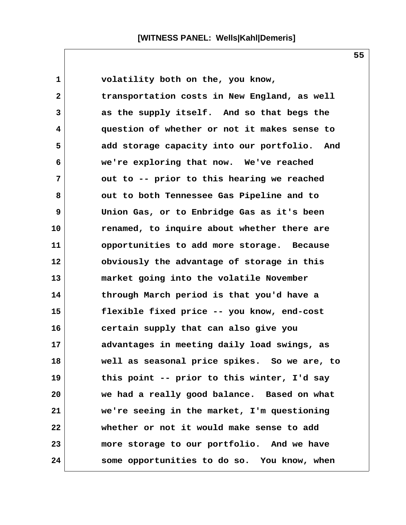1 volatility both on the, you know,  **2 transportation costs in New England, as well 3 as the supply itself. And so that begs the 4 question of whether or not it makes sense to 5 add storage capacity into our portfolio. And 6 we're exploring that now. We've reached 7 out to -- prior to this hearing we reached 8 out to both Tennessee Gas Pipeline and to 9 Union Gas, or to Enbridge Gas as it's been 10 renamed, to inquire about whether there are 11 opportunities to add more storage. Because 12 obviously the advantage of storage in this 13 market going into the volatile November 14 through March period is that you'd have a 15 flexible fixed price -- you know, end-cost 16 certain supply that can also give you 17 advantages in meeting daily load swings, as 18 well as seasonal price spikes. So we are, to 19 this point -- prior to this winter, I'd say 20 we had a really good balance. Based on what 21 we're seeing in the market, I'm questioning 22 whether or not it would make sense to add 23 more storage to our portfolio. And we have 24 some opportunities to do so. You know, when**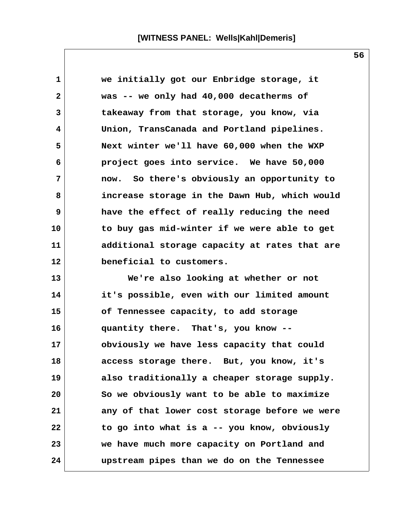**1 we initially got our Enbridge storage, it 2 was -- we only had 40,000 decatherms of 3 takeaway from that storage, you know, via 4 Union, TransCanada and Portland pipelines. 5 Next winter we'll have 60,000 when the WXP 6 project goes into service. We have 50,000 7 now. So there's obviously an opportunity to 8 increase storage in the Dawn Hub, which would 9 have the effect of really reducing the need 10 to buy gas mid-winter if we were able to get 11 additional storage capacity at rates that are 12 beneficial to customers. 13 We're also looking at whether or not 14 it's possible, even with our limited amount 15 of Tennessee capacity, to add storage 16 quantity there. That's, you know -- 17 obviously we have less capacity that could 18 access storage there. But, you know, it's 19 also traditionally a cheaper storage supply. 20 So we obviously want to be able to maximize 21 any of that lower cost storage before we were 22 to go into what is a -- you know, obviously 23 we have much more capacity on Portland and 24 upstream pipes than we do on the Tennessee**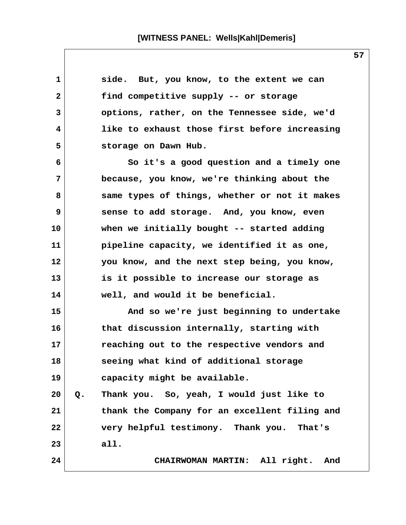| 1            |       | side. But, you know, to the extent we can     |
|--------------|-------|-----------------------------------------------|
| $\mathbf{2}$ |       | find competitive supply -- or storage         |
| 3            |       | options, rather, on the Tennessee side, we'd  |
| 4            |       | like to exhaust those first before increasing |
| 5            |       | storage on Dawn Hub.                          |
| 6            |       | So it's a good question and a timely one      |
| 7            |       | because, you know, we're thinking about the   |
| 8            |       | same types of things, whether or not it makes |
| 9            |       | sense to add storage. And, you know, even     |
| 10           |       | when we initially bought -- started adding    |
| 11           |       | pipeline capacity, we identified it as one,   |
| 12           |       | you know, and the next step being, you know,  |
| 13           |       | is it possible to increase our storage as     |
| 14           |       | well, and would it be beneficial.             |
| 15           |       | And so we're just beginning to undertake      |
| 16           |       | that discussion internally, starting with     |
| 17           |       | reaching out to the respective vendors and    |
| 18           |       | seeing what kind of additional storage        |
| 19           |       | capacity might be available.                  |
| 20           | $Q$ . | Thank you. So, yeah, I would just like to     |
| 21           |       | thank the Company for an excellent filing and |
| 22           |       | very helpful testimony. Thank you. That's     |
| 23           |       | all.                                          |
| 24           |       | CHAIRWOMAN MARTIN: All right.<br>And          |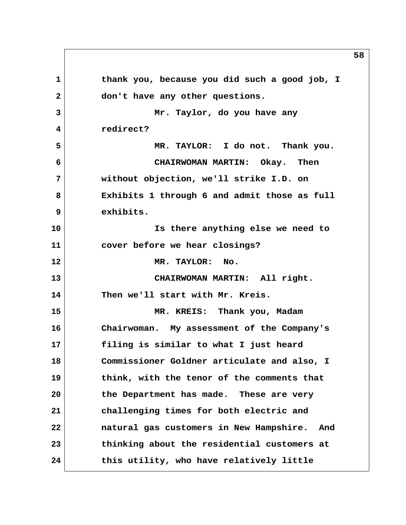**1 thank you, because you did such a good job, I 2 don't have any other questions. 3 Mr. Taylor, do you have any 4 redirect? 5 MR. TAYLOR: I do not. Thank you. 6 CHAIRWOMAN MARTIN: Okay. Then 7 without objection, we'll strike I.D. on 8 Exhibits 1 through 6 and admit those as full 9 exhibits. 10 Is there anything else we need to 11 cover before we hear closings? 12 MR. TAYLOR: No. 13 CHAIRWOMAN MARTIN: All right. 14 Then we'll start with Mr. Kreis. 15 MR. KREIS: Thank you, Madam 16 Chairwoman. My assessment of the Company's 17 filing is similar to what I just heard 18 Commissioner Goldner articulate and also, I 19 think, with the tenor of the comments that 20 the Department has made. These are very 21 challenging times for both electric and 22 natural gas customers in New Hampshire. And 23 thinking about the residential customers at 24 this utility, who have relatively little**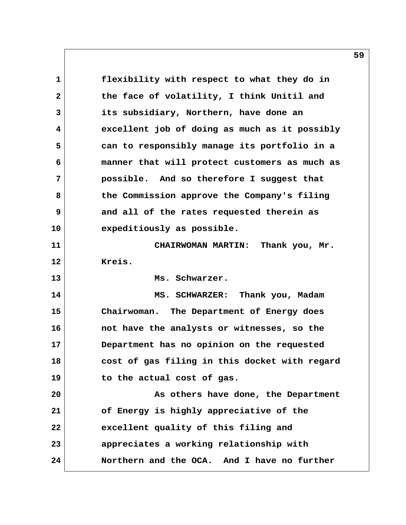**1 flexibility with respect to what they do in 2 the face of volatility, I think Unitil and 3 its subsidiary, Northern, have done an 4 excellent job of doing as much as it possibly 5 can to responsibly manage its portfolio in a 6 manner that will protect customers as much as 7 possible. And so therefore I suggest that 8 the Commission approve the Company's filing 9 and all of the rates requested therein as 10 expeditiously as possible. 11 CHAIRWOMAN MARTIN: Thank you, Mr. 12 Kreis. 13 Ms. Schwarzer. 14 MS. SCHWARZER: Thank you, Madam 15 Chairwoman. The Department of Energy does 16 not have the analysts or witnesses, so the 17 Department has no opinion on the requested 18 cost of gas filing in this docket with regard 19 to the actual cost of gas. 20 As others have done, the Department 21 of Energy is highly appreciative of the 22 excellent quality of this filing and 23 appreciates a working relationship with 24 Northern and the OCA. And I have no further**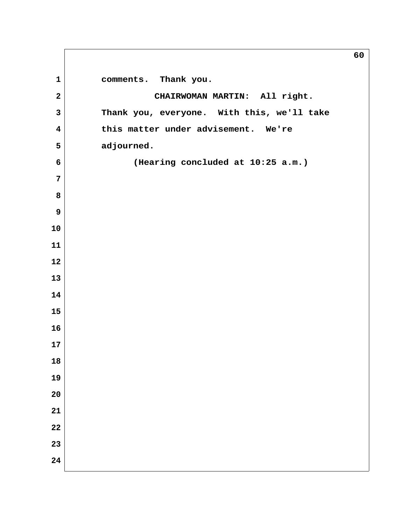**comments.** Thank you.  **2 CHAIRWOMAN MARTIN: All right. 3 Thank you, everyone. With this, we'll take 4 this matter under advisement. We're 5 adjourned. 6 (Hearing concluded at 10:25 a.m.)**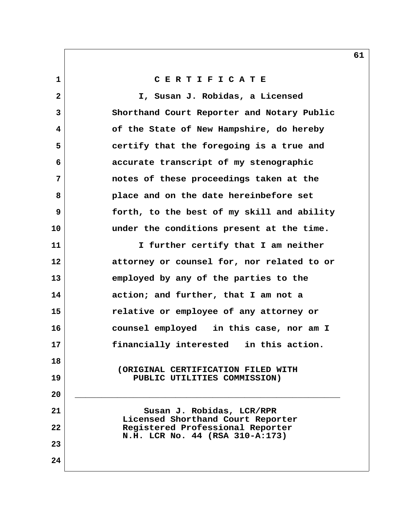**1 C E R T I F I C A T E**

 **2 I, Susan J. Robidas, a Licensed 3 Shorthand Court Reporter and Notary Public 4 of the State of New Hampshire, do hereby 5 certify that the foregoing is a true and 6 accurate transcript of my stenographic 7 notes of these proceedings taken at the 8 place and on the date hereinbefore set 9 forth, to the best of my skill and ability 10 under the conditions present at the time. 11 I further certify that I am neither 12 attorney or counsel for, nor related to or 13 employed by any of the parties to the 14 action; and further, that I am not a 15 relative or employee of any attorney or 16 counsel employed in this case, nor am I 17 financially interested in this action. 18 (ORIGINAL CERTIFICATION FILED WITH 19 PUBLIC UTILITIES COMMISSION) 20 \_\_\_\_\_\_\_\_\_\_\_\_\_\_\_\_\_\_\_\_\_\_\_\_\_\_\_\_\_\_\_\_\_\_\_\_\_\_\_\_\_\_\_\_\_\_\_\_\_\_** 21 Susan J. Robidas, LCR/RPR  **Licensed Shorthand Court Reporter 22 Registered Professional Reporter N.H. LCR No. 44 (RSA 310-A:173) 23 24**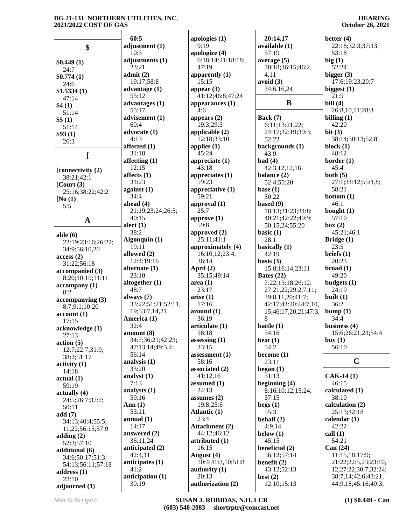|                                      | 60:5                     | apologies $(1)$                 | 20:14,17                                 | better $(4)$                                |
|--------------------------------------|--------------------------|---------------------------------|------------------------------------------|---------------------------------------------|
| \$                                   | adjustment (1)           | 9:19                            | available (1)                            | 22:18;32:3;37:13;                           |
|                                      | 10:5                     | apologize (4)                   | 57:19                                    | 53:18                                       |
| \$0.449(1)                           | adjustments (1)          | 6:18;14:21;18:18;               | average $(5)$                            | big(1)                                      |
| 24:7                                 | 23:21                    | 47:19                           | 30:18;36:15;46:2,                        | 52:24                                       |
| \$0.774(1)                           | admit(2)                 | apparently (1)                  | 4,11                                     | bigger $(3)$                                |
| 24:6                                 | 19:17;58:8               | 15:15<br>appear $(3)$           | avoid (3)<br>34:6,16,24                  | 17:6;19:23;20:7                             |
| \$1.5334(1)                          | advantage $(1)$<br>55:12 | 41:12;46:8;47:24                |                                          | biggest $(1)$<br>21:5                       |
| 47:14<br>\$4(1)                      | advantages (1)           | appearances $(1)$               | B                                        | bill $(4)$                                  |
| 51:14                                | 55:17                    | 4:6                             |                                          | 26:8,10,11;28:3                             |
| \$5(1)                               | advisement (1)           | appears $(2)$                   | Back $(7)$                               | billing $(1)$                               |
| 51:14                                | 60:4                     | 19:3;29:3                       | 6:11;13:21,22;                           | 42:20                                       |
| \$93(1)                              | advocate (1)<br>4:13     | applicable $(2)$<br>12:18:33:10 | 24:17;32:19;39:3;<br>52:22               | bit $(3)$<br>38:14;50:13;52:8               |
| 26:3                                 | affected (1)             | applies $(1)$                   | backgrounds (1)                          | block $(1)$                                 |
| L                                    | 31:18                    | 45:24                           | 43:9                                     | 48:12                                       |
|                                      | affecting $(1)$          | appreciate (1)                  | bad(4)                                   | border $(1)$                                |
| [connectivity (2)                    | 12:15                    | 43:18                           | 42:3,12,12,18                            | 45:4                                        |
| 38:21;42:1                           | affects $(1)$            | appreciates $(1)$               | balance (2)                              | both $(5)$                                  |
| $[$ Court $(3)$                      | 31:23<br>against $(1)$   | 59:23<br>appreciative $(1)$     | 52:4;55:20<br>base $(1)$                 | 27:1;34:12;55:1,8;<br>58:21                 |
| 25:16;38:22;42:2                     | 34:4                     | 59:21                           | 50:22                                    | bottom(1)                                   |
| [No(1)]<br>5:5                       | ahead $(4)$              | approval $(1)$                  | based $(9)$                              | 46:1                                        |
|                                      | 21:19;23:24;26:5;        | 25:7                            | 18:13;31:23;34:8;                        | bought $(1)$                                |
| $\mathbf A$                          | 40:15                    | approve (1)                     | 40:21;42:22;49:9;                        | 57:10                                       |
|                                      | alert $(1)$<br>38:2      | 59:8                            | 50:15,24;55:20                           | box (2)                                     |
| able $(6)$                           | Algonquin (1)            | approved $(2)$<br>25:11;41:1    | basic $(1)$<br>28:1                      | 45:21;46:1<br>Bridge $(1)$                  |
| 22:19;23:16;26:22;                   | 19:11                    | approximately (4)               | basically $(1)$                          | 23:5                                        |
| 34:9;56:10,20<br>access(2)           | allowed (2)              | 16:10,12;23:4;                  | 42:19                                    | briefs $(1)$                                |
| 31:22;56:18                          | 12:4;19:16               | 36:14                           | basis $(3)$                              | 20:23                                       |
| accompanied (3)                      | alternate $(1)$          | April $(2)$                     | 15:8;16:14;23:11                         | broad(1)                                    |
| 8:20;10:15;11:11                     | 23:10                    | 35:15;49:14                     | Bates $(22)$                             | 49:20                                       |
| $\arctan\left( 1\right)$             | altogether $(1)$<br>48:7 | area(1)<br>23:17                | 7:22;15:18;26:12;<br>27:21,22;29:2,7,11; | budgets $(1)$<br>24:19                      |
| 8:2                                  | always $(7)$             | arise(1)                        | 39:8,11,20;41:7;                         | built $(1)$                                 |
| $\arccompanying(3)$<br>8:7;9:1;10:20 | 33:22;51:21;52:11,       | 17:16                           | 42:17;43:20;44:7,10,                     | 36:2                                        |
| account(1)                           | 19;53:7,14,21            | around (1)                      | 15;46:17,20,21;47:3,                     | bump(1)                                     |
| 17:15                                | America (1)              | 36:19                           | 8                                        | 34:4                                        |
| acknowledge (1)                      | 32:4<br>amount(8)        | articulate (1)<br>58:18         | battle (1)<br>54:16                      | business $(4)$<br>15:6;26:21,23;54:4        |
| 27:13                                | 34:7;36:21;42:23;        | assessing $(1)$                 | beat $(1)$                               | buy $(1)$                                   |
| action(5)<br>12:7;22:7;31:9;         | 47:13,14;49:3,4;         | 33:15                           | 54:2                                     | 56:10                                       |
| 38:2;51:17                           | 56:14                    | assessment $(1)$                | become $(1)$                             |                                             |
| $\text{activity} (1)$                | analysis $(1)$           | 58:16                           | 23:11                                    | $\mathbf C$                                 |
| 14:18                                | 33:20                    | associated (2)<br>41:12,16      | began $(1)$<br>51:13                     |                                             |
| actual(1)                            | analyst $(1)$<br>7:13    | assumed $(1)$                   | beginning $(4)$                          | $CAK-14(1)$<br>46:15                        |
| 59:19                                | analysts (1)             | 24:13                           | 8:16;10:12;15:24;                        | calculated (1)                              |
| actually (4)<br>24:5;26:7;37:7;      | 59:16                    | assumes $(2)$                   | 57:15                                    | 38:10                                       |
| 50:11                                | Ann $(1)$                | 19:8;25:6                       | begs(1)                                  | calculation $(2)$                           |
| add(7)                               | 53:11                    | Atlantic (1)                    | 55:3                                     | 25:13;42:18                                 |
| 34:13;40:4;55:5,                     | annual $(1)$<br>14:17    | 23:4<br><b>Attachment</b> (2)   | behalf $(2)$<br>4:9,14                   | calendar $(1)$<br>42:22                     |
| 11,22;56:15;57:9                     | answered $(2)$           | 44:12;46:12                     | below $(1)$                              | call $(1)$                                  |
| adding $(2)$<br>52:3;57:10           | 36:11,24                 | attributed (1)                  | 45:15                                    | 54:21                                       |
| additional (6)                       | anticipated (2)          | 16:15                           | beneficial (2)                           | Can (24)                                    |
| 34:6;50:17;51:3;                     | 42:4,11                  | August (4)                      | 56:12;57:14                              | 11:15,18;17:9;                              |
| 54:13;56:11;57:18                    | anticipates $(1)$        | 10:4;41:3,10;51:8               | benefit $(2)$                            | 21:22;22:5,23;23:10,                        |
| address $(1)$                        | 41:2<br>anticipation (1) | authority $(1)$<br>20:13        | 43:12;52:13<br>best $(2)$                | 12;27:22;30:7;32:24;<br>38:7,14;42:6;43:21; |
| 22:10                                | 30:19                    | authorization (2)               | 12:10;15:13                              | 44:9,18;45:16;49:3;                         |
| adjourned (1)                        |                          |                                 |                                          |                                             |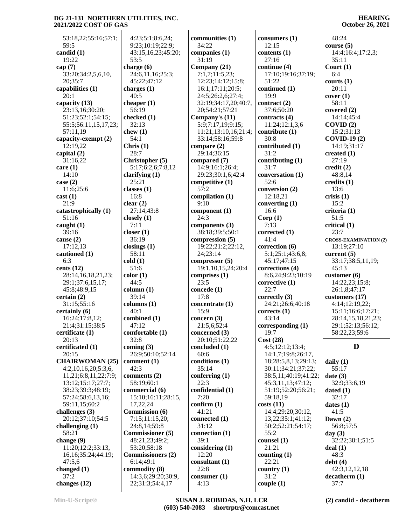48:24

 53:18,22;55:16;57:1; 59:5 **candid (1)** 19:22 **cap (7)** 33:20;34:2,5,6,10, 20;35:7 **capabilities (1)** 20:1 **capacity (13)** 23:13,16;30:20; 51:23;52:1;54:15; 55:5;56:11,15,17,23; 57:11,19 **capacity-exempt (2)** 12:19,22 **capital (2)** 31:16,22 **care (1)** 14:10 **case (2)** 11:6;25:6 **cast (1)** 21:9 **catastrophically (1)** 51:16 **caught (1)** 39:16 **cause (2)** 17:12,13 **cautioned (1)** 6:3 **cents (12)** 28:14,16,18,21,23; 29:1;37:6,15,17; 45:8;48:9,15 **certain (2)** 31:15;55:16 **certainly (6)** 16:24;17:8,12; 21:4;31:15;38:5 **certificate (1)** 20:13 **certificated (1)** 20:15 **CHAIRWOMAN (25)** 4:2,10,16,20;5:3,6, 11,21;6:8,11,22;7:9; 13:12;15:17;27:7; 38:23;39:3;48:19; 57:24;58:6,13,16; 59:11,15;60:2 **challenges (3)** 20:12;37:10;54:5 **challenging (1)** 58:21 **change (9)** 11:20;12:2;33:13, 16,16;35:24;44:19; 47:5,6 **changed (1)** 37:2 **changes (12)**

 4:23;5:1;8:6,24; 9:23;10:19;22:9; 43:15,16,23;45:20; 53:5 **charge (6)** 24:6,11,16;25:3; 45:22;47:12 **charges (1)** 40:5 **cheaper (1)** 56:19 **checked (1)** 32:13 **chew (1)** 54:1 **Chris (1)** 28:7 **Christopher (5)** 5:17;6:2,6;7:8,12 **clarifying (1)** 25:21 **classes (1)** 16:8 **clear (2)** 27:14;43:8 **closely (1)** 7:11 **closer (1)** 36:19 **closings (1)** 58:11 **cold (1)** 51:6 **color (1)** 44:5 **column (1)** 39:14 **columns (1)** 40:1 **combined (1)** 47:12 **comfortable (1)** 32:8 **coming (3)** 26:9;50:10;52:14 **comment (1)** 42:3 **comments (2)** 58:19;60:1 **commercial (6)** 15:10;16:11;28:15, 17,22,24 **Commission (6)** 7:15;11:15,20; 24:8,14;59:8 **Commissioner (5)** 48:21,23;49:2; 53:20;58:18 **Commissioners (2)** 6:14;49:1 **commodity (8)** 14:3,6;29:20;30:9, 22;31:3;54:4,17

**communities (1)** 34:22 **companies (1)** 31:19 **Company (21)** 7:1,7;11:5,23; 12:23;14:12;15:8; 16:1;17:11;20:5; 24:5;26:2,6;27:4; 32:19;34:17,20;40:7, 20;54:21;57:21 **Company's (11)** 5:9;7:17,19;9:15; 11:21;13:10,16;21:4; 33:14;58:16;59:8 **compare (2)** 29:14;36:15 **compared (7)** 14:9;16:1;26:4; 29:23;30:1,6;42:4 **competitive (1)** 57:2 **compilation (1)** 9:10 **component (1)** 24:3 **components (3)** 38:18;39:5;50:1 **compression (5)** 19:22;21:2;22:12, 24;23:14 **compressor (5)** 19:1,10,15,24;20:4 **comprises (1)** 23:5 **concede (1)** 17:8 **concentrate (1)** 15:9 **concern (3)** 21:5,6;52:4 **concerned (3)** 20:10;51:22,22 **concluded (1)** 60:6 **conditions (1)** 35:14 **conferring (1)** 22:3 **confidential (1)** 7:20 **confirm (1)** 41:21 **connected (1)** 31:12 **connection (1)** 39:1 **considering (1)** 12:20 **consultant (1)** 22:8 **consumer (1)** 4:13

**consumers (1)** 12:15 **contents (1)** 27:16 **continue (4)** 17:10;19:16;37:19; 51:22 **continued (1)** 19:9 **contract (2)** 37:6;50:20 **contracts (4)** 11:24;12:1,3,6 **contribute (1)** 30:8 **contributed (1)** 31:2 **contributing (1)** 31:7 **conversation (1)** 52:6 **conversion (2)** 12:18,21 **converting (1)** 16:6 **Corp (1)** 7:13 **corrected (1)** 41:4 **correction (6)** 5:1;25:1;43:6,8; 45:17;47:15 **corrections (4)** 8:6,24;9:23;10:19 **corrective (1)** 22:7 **correctly (3)** 24:21;26:6;40:18 **corrects (1)** 43:14 **corresponding (1)** 19:7 **Cost (28)** 4:5;12:12;13:4; 14:1,7;19:8;26:17, 18;28:5,8,13;29:13; 30:11;34:21;37:22; 38:5,11;40:19;41:22; 45:3,11,13;47:12; 51:19;52:20;56:21; 59:18,19 **costs (11)** 14:4;29:20;30:12, 13,22;35:1;41:12; 50:2;52:21;54:17; 55:2 **counsel (1)** 21:21 **counting (1)** 22:21 **country (1)** 31:2 **couple (1)**

**course (5)** 14:4;16:4;17:2,3; 35:11 **Court (1)** 6:4 **courts (1)** 20:11 **cover (1)** 58:11 **covered (2)** 14:14;45:4 **COVID (2)** 15:2;31:13 **COVID-19 (2)** 14:19;31:17 **created (1)** 27:19 **credit (2)** 48:8,14 **credits (1)** 13:6 **crisis (1)** 15:2 **criteria (1)** 51:5 **critical (1)** 23:7 **CROSS-EXAMINATION (2)** 13:19;27:10 **current (5)** 33:17;38:5,11,19; 45:13 **customer (6)** 14:22,23;15:8; 26:1,8;47:17 **customers (17)** 4:14;12:19,22; 15:11;16:6;17:21; 28:14,15,18,21,23; 29:1;52:13;56:12; 58:22,23;59:6

### **D**

**daily (1)** 55:17 **date (3)** 32:9;33:6,19 **dated (1)** 32:17 **dates (1)** 41:5 **Dawn (2)** 56:8;57:5 **day (3)** 32:22;38:1;51:5 **deal (1)** 48:3 **debt (4)** 42:3,12,12,18 **decatherm (1)** 37:7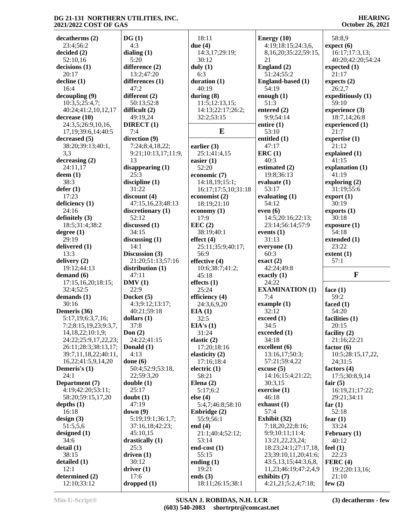**HEARING October 26, 2021**

| decatherms(2)                 | DG(1)               | 18:11                          | Energy $(10)$                       | 58:8,9             |
|-------------------------------|---------------------|--------------------------------|-------------------------------------|--------------------|
| 23:4;56:2                     | 4:3                 | due $(4)$                      | 4:19;18:15;24:3,6,                  | expect (6)         |
|                               |                     |                                |                                     |                    |
| decided(2)                    | dialing $(1)$       | 14:3,17;29:19;                 | 8, 16, 20; 35: 22; 59: 15,          | 16:17;17:3,13;     |
| 52:10,16                      | 5:20                | 30:12                          | 21                                  | 40:20;42:20;54:24  |
| decisions(1)                  | difference (2)      | duly $(1)$                     | England (2)                         | expected $(1)$     |
| 20:17                         | 13:2;47:20          | 6:3                            | 51:24;55:2                          | 21:17              |
| $\text{decline} (1)$          | differences (1)     | duration $(1)$                 | England-based (1)                   | expects $(2)$      |
| 16:4                          | 47:2                | 40:19                          | 54:19                               | 26:2,7             |
|                               |                     |                                |                                     |                    |
| decoupling (9)                | different (2)       | during $(8)$                   | enough $(1)$                        | expeditiously (1)  |
| 10:3,5;25:4,7;                | 50:13;52:8          | 11:5;12:13,15;                 | 51:3                                | 59:10              |
| 40:24;41:2,10,12,17           | difficult $(2)$     | 14:13;22:17;26:2;              | entered $(2)$                       | experience (3)     |
| decrease (10)                 | 49:19,24            | 32:2;53:15                     | 9:9;54:14                           | 18:7,14;26:8       |
|                               |                     |                                |                                     |                    |
| 24:3,5;26:9,10,16,            | DIRECT(1)           |                                | entire $(1)$                        | experienced (1)    |
| 17, 19; 39: 6, 14; 40: 5      | 7:4                 | E                              | 53:10                               | 21:7               |
| decreased (5)                 | direction (9)       |                                | entitled $(1)$                      | expertise $(1)$    |
| 38:20;39:13;40:1,             | 7:24;8:4,18,22;     | earlier $(3)$                  | 47:17                               | 21:12              |
| 3,3                           | 9:21;10:13,17;11:9, | 25:1;41:4,15                   | ERC(1)                              | explained (1)      |
|                               |                     |                                |                                     |                    |
| decreasing (2)                | 13                  | easier $(1)$                   | 40:3                                | 41:15              |
| 24:11,17                      | disappearing $(1)$  | 52:20                          | estimated (2)                       | explanation (1)    |
| $d$ eem $(1)$                 | 25:3                | economic (7)                   | 19:8;36:13                          | 41:19              |
| 38:3                          | discipline (1)      | 14:18,19;15:1;                 | evaluate $(1)$                      | exploring $(2)$    |
|                               |                     |                                |                                     |                    |
| defer(1)                      | 31:22               | 16:17;17:5,10;31:18            | 53:17                               | 31:19;55:6         |
| 17:23                         | discount(4)         | economist (2)                  | evaluating $(1)$                    | $\text{export}(1)$ |
| deficiency (1)                | 47:15,16,23;48:13   | 18:19;21:10                    | 54:12                               | 30:19              |
| 24:16                         | discretionary (1)   | economy $(1)$                  | even $(6)$                          | exports(1)         |
| definitely $(3)$              | 52:12               | 17:9                           | 14:5;20:16;22:13;                   | 30:18              |
|                               |                     |                                |                                     |                    |
| 18:5;31:4;38:2                | discussed (1)       | EEC(2)                         | 23:14;56:14;57:9                    | exposure(1)        |
| degree(1)                     | 34:15               | 38:19;40:1                     | events $(1)$                        | 54:18              |
| 29:19                         | discussing $(1)$    | effect $(4)$                   | 31:13                               | extended (1)       |
| delivered (1)                 | 14:1                | 25:11;35:9;40:17;              | everyone (1)                        | 23:22              |
| 13:3                          |                     | 56:9                           |                                     |                    |
|                               | Discussion (3)      |                                | 60:3                                | extent(1)          |
|                               |                     |                                |                                     |                    |
| delivery (2)                  | 21:20;51:13;57:16   | effective (4)                  | $\text{exact}(2)$                   | 57:1               |
| 19:12;44:13                   | distribution $(1)$  |                                | 42:24;49:8                          |                    |
|                               |                     | 10:6;38:7;41:2;                |                                     |                    |
| demand $(6)$                  | 47:11               | 45:18                          | exactly $(1)$                       | $\mathbf{F}$       |
| 17:15,16,20;18:15;            | DMV(1)              | effects $(1)$                  | 24:22                               |                    |
| 32:4;52:5                     | 22:9                | 25:24                          | <b>EXAMINATION (1)</b>              | face $(1)$         |
| demands $(1)$                 | Docket (5)          | efficiency (4)                 | 7:4                                 | 59:2               |
| 30:16                         | 4:3;9:12;13:17;     | 24:3,6,9,20                    |                                     | faced $(1)$        |
|                               |                     |                                | example $(1)$                       |                    |
| Demeris (36)                  | 40:21;59:18         | EIA(1)                         | 32:12                               | 54:20              |
| 5:17,19;6:3,7,16;             | dollars $(1)$       | 32:5                           | exceed (1)                          | facilities (1)     |
| 7:2;8:15,19,23;9:3,7,         | 37:8                | EIA's(1)                       | 34:5                                | 20:15              |
| 14, 18, 22; 10: 1, 9;         | Don $(2)$           | 31:24                          | exceeded (1)                        | facility (2)       |
| 24:22;25:9,17,22,23;          | 24:22;41:15         | elastic $(2)$                  | 34:18                               | 21:16;22:21        |
|                               |                     |                                |                                     |                    |
| 26:11;28:3;38:13,17;          | Donald (1)          | 17:20;18:16                    | $\alpha$ excellent $(6)$            | factor $(6)$       |
| 39:7,11,18,22;40:11,          | 4:13                | elasticity (2)                 | 13:16,17;50:3;                      | 10:5;28:15,17,22,  |
| 16,22;41:5,9,14,20            | done $(6)$          | 17:16;18:4                     | 57:21;59:4,22                       | 24;31:5            |
| Demeris's $(1)$               | 50:4;52:9;53:18,    | electric $(1)$                 | $\csc{usc}$ (5)                     | factors $(4)$      |
| 24:1                          | 22,59:3,20          | 58:21                          | 14:16;15:4;21:22;                   | 17:5;30:8,9,14     |
|                               |                     |                                |                                     |                    |
| Department (7)                | double(1)           | Elena $(2)$                    | 30:3,15                             | fair $(5)$         |
| 4:19;42:20;53:11;             | 25:17               | 5:17;6:2                       | exercise $(1)$                      | 16:19,21;17:22;    |
| 58:20;59:15,17,20             | doubt(1)            | else $(4)$                     | 46:18                               | 29:21;34:11        |
| depths $(1)$                  | 47:19               | 5:4,7;46:8;58:10               | exhaust $(1)$                       | far $(1)$          |
| 16:18                         | down(9)             | Enbridge (2)                   | 57:4                                | 52:18              |
|                               |                     |                                |                                     |                    |
| design(3)                     | 5:19:19:1:36:1.7;   | 55:9;56:1                      | Exhibit (32)                        | fear $(1)$         |
| 51:5,5,6                      | 37:16,18;42:23;     | end $(4)$                      | 7:18,20,22;8:16;                    | 33:24              |
| designed $(1)$                | 45:10,15            | 21:1;40:4;52:12;               | 9:9;10:11;11:4;                     | February (1)       |
| 34:6                          | drastically $(1)$   | 53:14                          | 13:21, 22, 23, 24;                  | 40:12              |
| delta(1)                      | 25:3                | end-cost $(1)$                 | 18:23;24:1;27:17,18,                | feel $(1)$         |
|                               |                     |                                |                                     |                    |
| 38:15                         | driven $(1)$        | 55:15                          | 23;39:10,11,20;41:6;                | 22:23              |
| detailed (1)                  | 30:12               | ending $(1)$                   | 43:5, 13, 15; 44: 3, 6, 8,          | FERC(4)            |
| 12:1                          | driver(1)           | 19:21                          | 11,23;46:19;47:2,4,9                | 19:2;20:13,16;     |
| determined (2)<br>12:10;33:12 | 17:6<br>dropped(1)  | ends $(3)$<br>18:11;26:15;38:1 | exhibits (7)<br>4:21,21;5:2,4;7:18; | 21:10<br>few $(2)$ |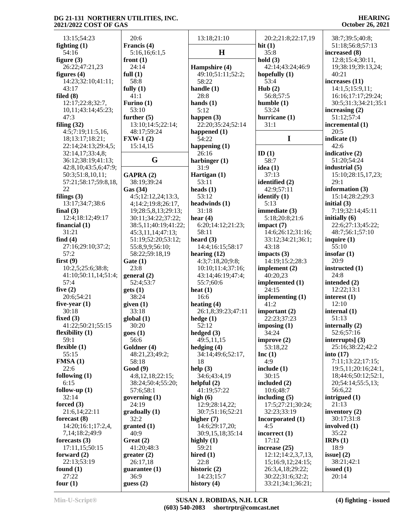#### **HEARING October 26, 2021**

| 13:15;54:23                            | 20:6                                       | 13:18;21:10                     | 20:2;21:8;22:17,19             | 38:7;39:5;40:8;                     |
|----------------------------------------|--------------------------------------------|---------------------------------|--------------------------------|-------------------------------------|
| fighting $(1)$                         | Francis (4)                                |                                 | hit $(1)$                      | 51:18;56:8;57:13                    |
| 54:16                                  | 5:16,16;6:1,5                              | H                               | 35:8                           | increased (8)                       |
| figure $(3)$                           | front $(1)$                                |                                 | hold $(3)$                     | 12:8;15:4;30:11,                    |
| 26:22;47:21,23                         | 24:14                                      | Hampshire (4)                   | 42:14:43:24:46:9               | 19;38:19;39:13,24;                  |
| figures $(4)$                          | full $(1)$                                 | 49:10;51:11;52:2;               | hopefully $(1)$                | 40:21                               |
| 14:23;32:10;41:11;                     | 58:8                                       | 58:22                           | 53:4                           | increases (11)                      |
| 43:17                                  | fully $(1)$                                | handle $(1)$                    | Hub(2)                         | 14:1,5;15:9,11;                     |
| filed $(8)$                            | 41:1                                       | 28:8                            | 56:8;57:5                      | 16:16;17:17;29:24;                  |
| 12:17;22:8;32:7,                       | Furino $(1)$                               | hands $(1)$                     | humble(1)                      | 30:5;31:3;34:21;35:1                |
| 10,11;43:14;45:23;<br>47:3             | 53:10                                      | 5:12                            | 53:24<br>hurricane (1)         | increasing $(2)$                    |
| filing $(32)$                          | further $(5)$<br>13:10;14:5;22:14;         | happen (3)<br>22:20;35:24;52:14 | 31:1                           | 51:12;57:4<br>incremental (1)       |
| 4:5;7:19;11:5,16,                      | 48:17;59:24                                | happened $(1)$                  |                                | 20:5                                |
| 18;13:17;18:21;                        | $\textbf{FXW-1}$ (2)                       | 54:22                           | $\mathbf I$                    | indicate (1)                        |
| 22:14;24:13;29:4,5;                    | 15:14,15                                   | happening $(1)$                 |                                | 42:6                                |
| 32:14,17;33:4,8;                       |                                            | 26:16                           | ID $(1)$                       | indicative (2)                      |
| 36:12;38:19;41:13;                     | G                                          | harbinger $(1)$                 | 58:7                           | 51:20;54:24                         |
| 42:8,10;43:5,6;47:9;                   |                                            | 31:9                            | idea $(1)$                     | industrial (5)                      |
| 50:3;51:8,10,11;                       | GAPRA (2)                                  | Hartigan (1)                    | 37:13                          | 15:10;28:15,17,23;                  |
| 57:21;58:17;59:8,18,                   | 38:19;39:24                                | 53:11                           | identified (2)                 | 29:1                                |
| 22                                     | Gas (34)                                   | heads $(1)$                     | 42:9:57:11                     | information $(3)$                   |
| filings $(3)$                          | 4:5;12:12,24;13:3,                         | 53:12                           | identify $(1)$                 | 15:14;28:2;29:3                     |
| 13:17;34:7;38:6                        | 4;14:2;19:8;26:17,                         | headwinds (1)                   | 5:13                           | initial $(3)$                       |
| final $(3)$                            | 19;28:5,8,13;29:13;                        | 31:18                           | immediate (3)                  | 7:19;32:14;45:11<br>initially $(6)$ |
| 12:4;18:12;49:17<br>financial $(1)$    | 30:11;34:22;37:22;<br>38:5,11;40:19;41:22; | hear $(4)$<br>6:20;14:12;21:23; | 5:18;20:8;21:6<br>impact $(7)$ | 22:6;27:13;45:22;                   |
| 31:21                                  | 45:3,11,14;47:13;                          | 58:11                           | 14:6;26:12;31:16;              | 48:7;56:1;57:10                     |
| find $(4)$                             | 51:19;52:20;53:12;                         | heard $(3)$                     | 33:12;34:21;36:1;              | inquire $(1)$                       |
| 27:16;29:10;37:2;                      | 55:8,9,9;56:10;                            | 14:4;16:15;58:17                | 43:18                          | 55:10                               |
| 57:2                                   | 58:22;59:18,19                             | hearing $(12)$                  | impacts $(3)$                  | insofar $(1)$                       |
| first $(9)$                            | Gate(1)                                    | 4:3;7:18,20;9:8;                | 14:19;15:2;28:3                | 20:9                                |
| 10:2,5;25:6;38:8;                      | 23:8                                       | 10:10;11:4;37:16;               | implement $(2)$                | instructed (1)                      |
| 41:10;50:11,14;51:4;                   | general(2)                                 | 43:14;46:19;47:4;               | 40:20,23                       | 24:8                                |
| 57:4                                   | 52:4;53:7                                  | 55:7;60:6                       | implemented (1)                | intended (2)                        |
| five $(2)$                             | gets(1)                                    | heat $(1)$                      | 24:15                          | 12:22:13:1                          |
| 20:6;54:21                             | 38:24                                      | 16:6                            | implementing (1)               | interest $(1)$                      |
| five-year $(1)$                        | given (1)                                  | heating $(4)$                   | 41:2                           | 12:10                               |
| 30:18                                  | 33:18                                      | 26:1,8;39:23;47:11              | important $(2)$                | internal $(1)$                      |
| fixed $(3)$                            | global(1)                                  | hedge $(1)$<br>52:12            | 22:23;37:23                    | 51:13                               |
| 41:22;50:21;55:15<br>flexibility $(1)$ | 30:20<br>goes(1)                           | hedged $(3)$                    | imposing (1)<br>34:24          | internally (2)<br>52:6;57:16        |
| 59:1                                   | 56:6                                       | 49:5,11,15                      | improve $(2)$                  | interrupts] $(3)$                   |
| flexible $(1)$                         | Goldner (4)                                | hedging $(4)$                   | 53:18,22                       | 25:16;38:22;42:2                    |
| 55:15                                  | 48:21,23;49:2;                             | 34:14;49:6;52:17,               | Inc(1)                         | into $(17)$                         |
| FMSA(1)                                | 58:18                                      | 18                              | 4:9                            | 7:11;13:22;17:15;                   |
| 22:6                                   | Good(9)                                    | help $(3)$                      | include $(1)$                  | 19:5,11:20:16:24:1,                 |
| following (1)                          | 4:8,12,18;22:15;                           | 34:6:43:4.19                    | 30:15                          | 18;44:6;50:12;52:1,                 |
| 6:15                                   | 38:24;50:4;55:20;                          | helpful $(2)$                   | included $(2)$                 | 20;54:14;55:5,13;                   |
| follow-up $(1)$                        | 57:6;58:1                                  | 41:19;57:22                     | 10:6;48:7                      | 56:6,22                             |
| 32:14                                  | governing $(1)$                            | high $(6)$                      | including $(5)$                | intrigued $(1)$                     |
| forced $(3)$                           | 24:19                                      | 12:9;28:14,22;                  | 17:5;27:21;30:24;              | 21:13                               |
| 21:6,14;22:11                          | gradually (1)                              | 30:7;51:16;52:21                | 32:23;33:19                    | inventory $(2)$                     |
| forecast $(8)$<br>14:20;16:1;17:2,4,   | 32:2                                       | higher $(7)$<br>14:6;29:17,20;  | Incorporated (1)<br>4:5        | 30:17;31:8<br>involved $(1)$        |
| 7, 14; 18: 2; 49: 9                    | granted (1)<br>40:9                        | 30:9,15,18;35:14                | incorrect $(1)$                | 35:22                               |
| forecasts $(3)$                        | Great (2)                                  | highly $(1)$                    | 17:12                          | IRPs $(1)$                          |
| 17:11,15;50:15                         | 41:20;48:3                                 | 59:21                           | increase (25)                  | 18:9                                |
| forward $(2)$                          | greater(2)                                 | hired $(1)$                     | 12:12;14:2,3,7,13,             | issue] $(2)$                        |
| 22:13;53:19                            | 26:17,18                                   | 22:8                            | 15;16:9,12;24:15;              | 38:21;42:1                          |
| found $(1)$                            | guarantee $(1)$                            | historic (2)                    | 26:3,4,18;29:22;               | issued $(1)$                        |
| 27:22                                  | 36:9                                       | 14:23;15:7                      | 30:22;31:6;32:2;               | 20:14                               |
| four $(1)$                             | guess $(2)$                                | history $(4)$                   | 33:21;34:1;36:21;              |                                     |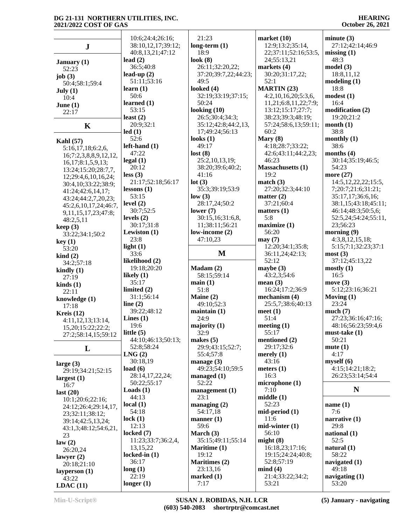|                                 | 10:6;24:4;26:16;                   | 21:23                             | market $(10)$                          | minute $(3)$                               |
|---------------------------------|------------------------------------|-----------------------------------|----------------------------------------|--------------------------------------------|
| ${\bf J}$                       | 38:10,12,17;39:12;                 | long-term $(1)$                   | 12:9;13:2;35:14,                       | 27:12;42:14;46:9                           |
|                                 | 40:8,13,21;47:12                   | 18:9                              | 22;37:11;52:16;53:5,                   | missing $(1)$                              |
| January $(1)$                   | lead $(2)$                         | look $(8)$                        | 24;55:13,21                            | 48:3                                       |
| 52:23                           | 36:5;40:8                          | 26:11;32:20,22;                   | markets $(4)$                          | model(3)                                   |
| job $(3)$                       | lead-up $(2)$                      | 37:20;39:7,22;44:23;              | 30:20;31:17,22;                        | 18:8,11,12                                 |
| 50:4;58:1;59:4                  | 51:11;53:16                        | 49:5                              | 52:1                                   | modeling(1)                                |
| July (1)                        | learn(1)                           | looked $(4)$                      | <b>MARTIN (23)</b>                     | 18:8                                       |
| 10:4                            | 50:6                               | 32:19;33:19;37:15;                | 4:2,10,16,20;5:3,6,                    | modest(1)                                  |
| June $(1)$                      | learned $(1)$                      | 50:24                             | 11,21;6:8,11,22;7:9;                   | 16:4                                       |
| 22:17                           | 53:15<br>least $(2)$               | looking $(10)$<br>26:5;30:4;34:3; | 13:12;15:17;27:7;<br>38:23;39:3;48:19; | modification (2)<br>19:20;21:2             |
|                                 | 20:9;32:1                          | 35:12;42:8;44:2,13,               | 57:24;58:6,13;59:11;                   | month(1)                                   |
| K                               | led(1)                             | 17;49:24;56:13                    | 60:2                                   | 38:8                                       |
| <b>Kahl</b> (57)                | 52:6                               | looks $(1)$                       | Mary $(8)$                             | monthly $(1)$                              |
| 5:16,17,18;6:2,6,               | $left$ -hand $(1)$                 | 49:17                             | 4:18;28:7;33:22;                       | 38:6                                       |
| 16;7:2,3,8,8,9,12,12,           | 47:22                              | lost(8)                           | 42:6;43:11;44:2,23;                    | months $(4)$                               |
| 16, 17; 8: 1, 5, 9, 13;         | legal(1)                           | 25:2,10,13,19;                    | 46:23                                  | 30:14;35:19;46:5;                          |
| 13:24;15:20;28:7,7,             | 20:12                              | 38:20;39:6;40:2;                  | <b>Massachusetts (1)</b>               | 54:23                                      |
| 12;29:4,6,10,16,24;             | less(3)                            | 41:16                             | 19:2                                   | more (27)                                  |
| 30:4,10;33:22;38:9;             | 21:17;52:18;56:17                  | lot(3)                            | match(3)                               | 14:5, 12, 22, 22; 15:5,                    |
| 41:24;42:6,14,17;               | lessons(1)                         | 35:3;39:19;53:9                   | 27:20;32:3;44:10                       | 7;20:7;21:6;31:21;                         |
| 43:24;44:2,7,20,23;             | 53:15                              | low(3)                            | matter $(2)$<br>37:21:60:4             | 35:17,17;36:6,16;                          |
| 45:2,6,10,17,24;46:7,           | level $(2)$<br>30:7;52:5           | 28:17,24;50:2<br>lower $(7)$      | matters $(1)$                          | 38:1,15;43:18;45:11;<br>46:14;48:3;50:5,6; |
| 9, 11, 15, 17, 23; 47: 8;       | levels $(2)$                       | 30:15,16;31:6,8,                  | 5:8                                    | 52:5,24;54:24;55:11,                       |
| 48:2,5,11                       | 30:17;31:8                         | 11;38:11;56:21                    | maximize (1)                           | 23;56:23                                   |
| keep(3)<br>33:22;34:1;50:2      | Lewiston $(1)$                     | low-income (2)                    | 56:20                                  | morning $(9)$                              |
| key(1)                          | 23:8                               | 47:10,23                          | may(7)                                 | 4:3,8,12,15,18;                            |
| 53:20                           | light $(1)$                        |                                   | 12:20;34:1;35:8;                       | 5:15;7:1;32:23;37:1                        |
| $\operatorname{kind}(2)$        | 33:6                               | M                                 | 36:11,24;42:13;                        | most(3)                                    |
| 34:2;57:18                      | likelihood (2)                     |                                   | 52:12                                  | 37:12;45:13,22                             |
|                                 |                                    |                                   |                                        |                                            |
|                                 | 19:18;20:20                        | Madam(2)                          | maybe $(3)$                            | mostly(1)                                  |
| kindly $(1)$<br>27:19           | likely $(1)$                       | 58:15;59:14                       | 43:2,3;54:6                            | 16:5                                       |
| $\boldsymbol{\text{kinds}}$ (1) | 35:17                              | main(1)                           | mean $(3)$                             | move $(3)$                                 |
| 22:11                           | limited $(2)$                      | 51:8                              | 16:24;17:2;36:9                        | 5:12;23:16;36:21                           |
| knowledge (1)                   | 31:1;56:14                         | Maine (2)                         | mechanism (4)                          | Moving $(1)$                               |
| 17:18                           | line $(2)$                         | 49:10;52:3                        | 25:5,7;38:6;40:13                      | 23:24                                      |
| Kreis $(12)$                    | 39:22;48:12                        | maintain(1)                       | meet $(1)$                             | much(7)                                    |
| 4:11,12,13;13:14,               | Lines $(1)$                        | 24:9                              | 51:4                                   | 27:23;36:16;47:16;                         |
| 15,20;15:22;22:2;               | 19:6                               | majority (1)                      | meeting $(1)$<br>55:17                 | 48:16:56:23:59:4.6                         |
| 27:2;58:14,15;59:12             | little $(5)$<br>44:10;46:13;50:13; | 32:9<br>makes $(5)$               | mentioned (2)                          | must-take $(1)$<br>50:21                   |
|                                 | 52:8;58:24                         | 29:9;43:15;52:7;                  | 29:17;32:6                             | mute(1)                                    |
| L                               | LNG(2)                             | 55:4;57:8                         | merely $(1)$                           | 4:17                                       |
| large $(3)$                     | 30:18,19                           | manage $(3)$                      | 43:16                                  | myself(6)                                  |
| 29:19;34:21;52:15               | load $(6)$                         | 49:23;54:10;59:5                  | meters $(1)$                           | 4:15;14:21;18:2;                           |
| largest $(1)$                   | 28:14,17,22,24;                    | managed $(1)$                     | 16:3                                   | 26:23;53:14;54:4                           |
| 16:7                            | 50:22;55:17                        | 52:22                             | microphone(1)                          |                                            |
| last $(20)$                     | <b>Loads</b> $(1)$                 | management $(1)$                  | 7:10                                   | N                                          |
| 10:1;20:6;22:16;                | 44:13                              | 23:1                              | middle(1)                              |                                            |
| 24:12;26:4;29:14,17,            | local(1)                           | managing $(2)$                    | 52:23                                  | name $(1)$                                 |
| 23;32:11;38:12;                 | 54:18                              | 54:17,18<br>manner $(1)$          | $mid-period (1)$<br>11:6               | 7:6<br>narrative $(1)$                     |
| 39:14;42:5,13,24;               | lock(1)<br>12:13                   | 59:6                              | $mid-winter(1)$                        | 29:8                                       |
| 43:1,3;48:12;54:6,21,           | locked $(7)$                       | March $(3)$                       | 56:10                                  | national $(1)$                             |
| 23                              | 11:23;33:7;36:2,4,                 | 35:15;49:11;55:14                 | might $(8)$                            | 52:5                                       |
| law(2)<br>26:20,24              | 13,15,22                           | Maritime (1)                      | 16:18,23;17:16;                        | natural $(1)$                              |
| lawyer $(2)$                    | locked-in $(1)$                    | 19:12                             | 19:15;24:24;40:8;                      | 58:22                                      |
| 20:18;21:10                     | 36:17                              | Maritimes (2)                     | 52:8;57:19                             | navigated $(1)$                            |
| layperson $(1)$                 | long(1)                            | 23:13,16                          | mind(4)                                | 49:18                                      |
| 43:22<br>LDAC(11)               | 22:19<br>longer $(1)$              | marked $(1)$<br>7:17              | 21:4;33:22;34:2;<br>53:21              | navigating $(1)$<br>53:20                  |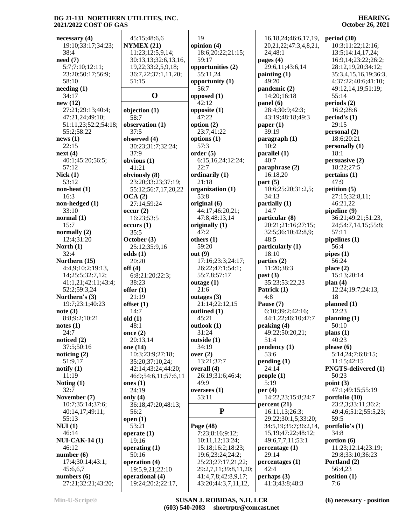**necessary (4)** 19:10;33:17;34:23; 38:4 **need (7)** 5:7;7:10;12:11; 23:20;50:17;56:9; 58:10 **needing (1)** 34:17 **new (12)** 27:21;29:13;40:4; 47:21,24;49:10; 51:11,23;52:2;54:18; 55:2;58:22 **news (1)** 22:15 **next (4)** 40:1;45:20;56:5; 57:12 **Nick (1)** 53:12 **non-heat (1)** 16:3 **non-hedged (1)** 33:10 **normal (1)** 15:7 **normally (2)** 12:4;31:20 **North (1)** 32:4 **Northern (15)** 4:4,9;10:2;19:13, 14;25:5;32:7,12; 41:1,21;42:11;43:4; 52:2;59:3,24 **Northern's (3)** 19:7;23:1;40:23 **note (3)** 8:8;9:2;10:21 **notes (1)** 24:7 **noticed (2)** 37:5;50:16 **noticing (2)** 51:9,17 **notify (1)** 11:19 **Noting (1)** 32:7 **November (7)** 10:7;35:14;37:6; 40:14,17;49:11; 55:13 **NUI (1)** 46:14 **NUI-CAK-14 (1)** 46:12 **number (6)** 17:4;30:14;43:1; 45:6,6,7 **numbers (6)** 27:21;32:21;43:20;

 45:15;48:6,6 **NYMEX (21)** 11:23;12:5,9,14; 30:13,13;32:6,13,16, 19,22;33:2,5,9,18; 36:7,22;37:1,11,20; 51:15 **O opposed (1) objection (1)** 58:7 **observation (1)** 37:5 **observed (4)** 30:23;31:7;32:24; 37:9 **obvious (1)** 41:21 **obviously (8)** 23:20;33:23;37:19; 55:12;56:7,17,20,22 **OCA (2)** 27:14;59:24 **occur (2)** 16:23;53:5 **occurs (1)** 35:5 **October (3)** 25:12;35:9,16 **odds (1)** 20:20 **off (4)** 6:8;21:20;22:3; 38:23 **offer (1)** 21:19 **offset (1)** 14:7 **old (1)** 48:1 **once (2)** 20:13,14 **one (14)** 10:3;23:9;27:18; 35:20;37:10,24; 42:14;43:24;44:20; 46:9;54:6,11;57:6,11 **ones (1)** 24:19 **only (4)** 36:18;47:20;48:13; 56:2 **open (1)** 53:21 **operate (1)** 19:16 **operating (1)** 50:16 **operation (4)** 19:5,9,21;22:10 **operational (4)** 19:24;20:2;22:17, 19 **opinion (4)** 18:6;20:22;21:15; 59:17 **opportunities (2)** 55:11,24 **opportunity (1)** 56:7 42:12 **opposite (1)** 47:22 **option (2)** 23:7;41:22 **options (1)** 57:3 **order (5)** 6:15,16,24;12:24; 22:7 **ordinarily (1)** 21:18 **organization (1)** 53:8 **original (6)** 44:17;46:20,21; 47:8;48:13,14 **originally (1)** 47:2 **others (1)** 59:20 **out (9)** 17:16;23:3;24:17; 26:22;47:1;54:1; 55:7,8;57:17 **outage (1)** 21:6 **outages (3)** 21:14;22:12,15 **outlined (1)** 45:21 **outlook (1)** 31:24 **outside (1)** 34:19 **over (2)** 13:21;37:7 **overall (4)** 26:19;31:6;46:4; 49:9 **oversees (1)** 53:11 **Page (48)** 7:23;8:16;9:12; 10:11,12;13:24; 15:18;16:2;18:23; 19:6;23:24;24:2; 25:23;27:17,21,22; 29:2,7,11;39:8,11,20; 41:4,7,8;42:8,9,17; 43:20;44:3,7,11,12,

**P** 16,18,24;46:6,17,19, 20,21,22;47:3,4,8,21, 24;48:1 **pages (4)** 29:6,11;43:6,14 **painting (1)** 49:20 **pandemic (2)** 14:20;16:18 **panel (6)** 28:4;30:9;42:3; 43:19;48:18;49:3 **paper (1)** 39:19 **paragraph (1)** 10:2 **parallel (1)** 40:7 **paraphrase (2)** 16:18,20 **part (5)** 10:6;25:20;31:2,5; 34:13 **partially (1)** 14:7 **particular (8)** 20:21;21:16;27:15; 32:5;36:10;42:8,9; 48:5 **particularly (1)** 18:10 **parties (2)** 11:20;38:3 **past (3)** 35:23;53:22,23 **Patrick (1)** 4:8 **Pause (7)** 6:10;39:2;42:16; 44:1,22;46:10;47:7 **peaking (4)** 49:22;50:20,21; 51:4 **pendency (1)** 53:6 **pending (1)** 24:14 **people (1)** 5:19 **per (4)** 14:22,23;15:8;24:7 **percent (21)** 16:11,13;26:3; 29:22;30:1,5;33:20; 34:5,19;35:7;36:2,14, 15,19;47:22;48:12; 49:6,7,7,11;53:1 **percentage (1)** 29:14 **percentages (1)** 42:4 **perhaps (3)** 41:3;43:8;48:3

**HEARING October 26, 2021**

**period (30)** 10:3;11:22;12:16; 13:5;14:14,17,24; 16:9,14;23:22;26:2; 28:12,19,20;34:12; 35:3,4,15,16,19;36:3, 4;37:22;40:6;41:10; 49:12,14,19;51:19; 55:14 **periods (2)** 16:2;28:6 **period's (1)** 29:15 **personal (2)** 18:6;20:21 **personally (1)** 18:1 **persuasive (2)** 18:22;27:5 **pertains (1)** 47:9 **petition (5)** 27:15;32:8,11; 46:21,22 **pipeline (9)** 36:21;49:21;51:23, 24;54:7,14,15;55:8; 57:11 **pipelines (1)** 56:4 **pipes (1)** 56:24 **place (2)** 15:13;20:14 **plan (4)** 12:24;19:7;24:13, 18 **planned (1)** 12:23 **planning (1)** 50:10 **plans (1)** 40:23 **please (6)** 5:14,24;7:6;8:15; 11:15;42:15 **PNGTS-delivered (1)** 50:23 **point (3)** 47:1;49:15;55:19 **portfolio (10)** 23:2,3;33:11;36:2; 49:4,6;51:2;55:5,23; 59:5 **portfolio's (1)** 34:8 **portion (6)** 11:23;12:14;23:19; 29:8;33:10;36:23 **Portland (2)** 56:4,23 **position (1)** 7:6

**Min-U-Script® SUSAN J. ROBIDAS, N.H. LCR (603) 540-2083 shortrptr@comcast.net** **(6) necessary - position**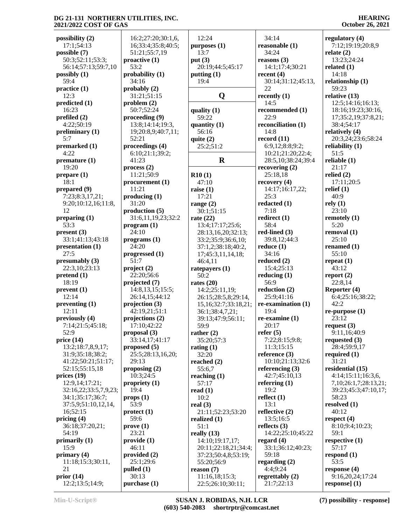**possibility (2)** 17:1;54:13 **possible (7)** 50:3;52:11;53:3; 56:14;57:13;59:7,10 **possibly (1)** 59:4 **practice (1)** 12:3 **predicted (1)** 16:23 **prefiled (2)** 4:22;50:19 **preliminary (1)** 5:7 **premarked (1)** 4:22 **premature (1)** 19:20 **prepare (1)** 18:1 **prepared (9)** 7:23;8:3,17,21; 9:20;10:12,16;11:8, 12 **preparing (1)** 53:3 **present (3)** 33:1;41:13;43:18 **presentation (1)** 27:5 **presumably (3)** 22:3,10;23:13 **pretend (1)** 18:19 **prevent (1)** 12:14 **preventing (1)** 12:11 **previously (4)** 7:14;21:5;45:18; 52:9 **price (14)** 13:2;18:7,8,9,17; 31:9;35:18;38:2; 41:22;50:21;51:17; 52:15;55:15,18 **prices (19)** 12:9,14;17:21; 32:16,22;33:5,7,9,23; 34:1;35:17;36:7; 37:5,9;51:10,12,14, 16;52:15 **pricing (4)** 36:18;37:20,21; 54:19 **primarily (1)** 15:9 **primary (4)** 11:18;15:3;30:11, 21 **prior (14)** 12:2;13:5;14:9;

 16:2;27:20;30:1,6, 16;33:4;35:8;40:5; 51:21;55:7,19 **proactive (1)** 53:2 **probability (1)** 34:16 **probably (2)** 31:21;51:15 **problem (2)** 50:7;52:24 **proceeding (9)** 13:8;14:14;19:3, 19;20:8,9;40:7,11; 52:21 **proceedings (4)** 6:10;21:1;39:2; 41:23 **process (2)** 11:21;50:9 **procurement (1)** 11:21 **producing (1)** 31:20 **production (5)** 31:6,11,19,23;32:2 **program (1)** 24:10 **programs (1)** 24:20 **progressed (1)** 51:7 **project (2)** 22:20;56:6 **projected (7)** 14:8,13,15;15:5; 26:14,15;44:12 **projection (3)** 42:19,21;51:1 **projections (2)** 17:10;42:22 **proposal (3)** 33:14,17;41:17 **proposed (5)** 25:5;28:13,16,20; 29:13 **proposing (2)** 10:3;24:5 **propriety (1)** 19:4 **props (1)** 53:9 **protect (1)** 59:6 **prove (1)** 23:21 **provide (1)** 46:11 **provided (2)** 25:1;29:6 **pulled (1)** 30:13 **purchase (1)**

 12:24 **purposes (1)** 13:7 **put (3)** 20:19;44:5;45:17 **putting (1)** 19:4 **Q recently (1) quality (1)** 59:22 **quantity (1)** 56:16 **quite (2)** 25:2;51:2 **R R10 (1)** 47:10 **raise (1)** 17:21 **range (2)** 30:1;51:15 **rate (22)** 13:4;17:17;25:6; 28:13,16,20;32:13; 33:2;35:9;36:6,10; 37:1,2;38:18;40:2, 17;45:3,11,14,18; 46:4,11 **ratepayers (1)** 50:2 **rates (20)** 14:2;25:11,19; 26:15;28:5,8;29:14, 15,16;32:7;33:18,21; 36:1;38:4,7,21; 39:13;47:9;56:11; 59:9 **rather (2)** 35:20;57:3 **rating (1)** 32:20 **reached (2)** 55:6,7 **reaching (1)** 57:17 **read (1)** 10:2 **real (3)** 21:11;52:23;53:20 **realized (1)** 51:1 **really (13)** 14:10;19:17,17; 20:11;22:18,21;34:4; 37:23;50:4,8;53:19; 55:20;56:9 **reason (7)** 11:16,18;15:3; 22:5;26:10;30:11; 34:14 34:24 22 14:5 22:9 14:8 25:3 7:18 58:4 34:16 56:9 19:4 20:17 **refer (5)** 19:2 13:1 59:18

**reasonable (1) reasons (3)** 14:1;17:4;30:21 **recent (4)** 30:14;31:12;45:13, **recommended (1) reconciliation (1) record (11)** 6:9,12;8:8;9:2; 10:21;21:20;22:4; 28:5,10;38:24;39:4 **recovering (2)** 25:18,18 **recovery (4)** 14:17;16:17,22; **redacted (1) redirect (1) red-lined (3)** 39:8,12;44:3 **reduce (1) reduced (2)** 15:4;25:13 **reducing (1) reduction (2)** 25:9;41:16 **re-examination (1) re-examine (1)** 7:22;8:15;9:8; 11:3;15:15 **reference (3)** 10:10;21:13;32:6 **referencing (3)** 42:7;45:10,13 **referring (1) reflect (1) reflective (2)** 13:5;16:5 **reflects (3)** 14:22;25:10;45:22 **regard (4)** 33:1;36:12;40:23; **regarding (2)** 4:4;9:24 **regrettably (2)** 21:7;22:13

#### **HEARING October 26, 2021**

**regulatory (4)** 7:12;19:19;20:8,9 **relate (2)** 13:23;24:24 **related (1)** 14:18 **relationship (1)** 59:23 **relative (13)** 12:5;14:16;16:13; 18:16;19:23;30:16, 17;35:2,19;37:8,21; 38:4;54:17 **relatively (4)** 20:3,24;23:6;58:24 **reliability (1)** 51:5 **reliable (1)** 21:17 **relied (2)** 17:11;20:5 **relief (1)** 40:9 **rely (1)** 23:10 **remotely (1)** 5:20 **removal (1)** 25:10 **renamed (1)** 55:10 **repeat (1)** 43:12 **report (2)** 22:8,14 **Reporter (4)** 6:4;25:16;38:22; 42:2 **re-purpose (1)** 23:12 **request (3)** 9:11,16;40:9 **requested (3)** 28:4;59:9,17 **required (1)** 31:21 **residential (15)** 4:14;15:11;16:3,6, 7,10;26:1,7;28:13,21; 39:23;45:3;47:10,17; 58:23 **resolved (1)** 40:12 **respect (4)** 8:10;9:4;10:23; 59:1 **respective (1)** 57:17 **respond (1)** 53:5 **response (4)** 9:16,20,24;17:24 **response] (1)**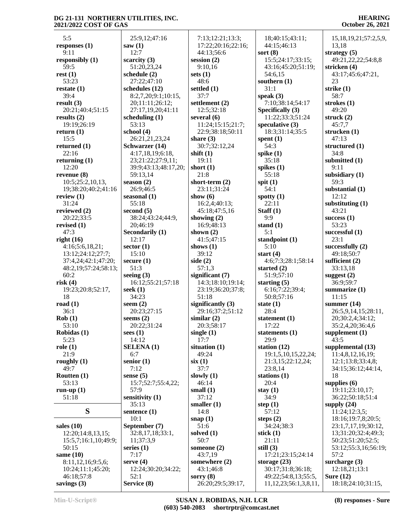#### **HEARING October 26, 2021**

| 5:5                              | 25:9,12;47:16            | 7:13;12:21;13:3;          | 18;40:15;43:11;                  | 15, 18, 19, 21; 57: 2, 5, 9, |
|----------------------------------|--------------------------|---------------------------|----------------------------------|------------------------------|
| responses $(1)$                  | saw(1)                   | 17:22;20:16;22:16;        | 44:15;46:13                      | 13,18                        |
| 9:11                             | 12:7                     | 44:13:56:6                | sort $(8)$                       | strategy $(5)$               |
| responsibly $(1)$                | scarcity $(3)$           | session $(2)$             | 15:5;24:17;33:15;                | 49:21,22,22;54:8,8           |
| 59:5                             | 51:20,23,24              | 9:10,16                   | 43:16;45:20;51:19;               | stricken (4)                 |
| rest(1)                          | schedule $(2)$           | sets $(1)$                | 54:6,15                          | 43:17;45:6;47:21,            |
| 53:23                            | 27:22;47:10              | 48:6                      | southern $(1)$                   | 23                           |
| restate $(1)$                    | schedules (12)           | settled $(1)$             | 31:1                             | strike $(1)$                 |
| 39:4                             | 8:2,7,20;9:1;10:15,      | 37:7                      | speak $(3)$                      | 58:7                         |
| result(3)                        | 20;11:11;26:12;          | settlement (2)            | 7:10:38:14:54:17                 | strokes $(1)$                |
| 20:21;40:4;51:15                 | 27:17,19,20;41:11        | 12:5;32:18                | Specifically (3)                 | 49:20                        |
| results $(2)$                    | scheduling $(1)$         | several $(6)$             | 11:22;33:3;51:24                 | struck $(2)$                 |
| 19:19;26:19                      | 53:13                    | 11:24;15:15;21:7;         | speculative $(3)$                | 45:7,7                       |
| return $(1)$                     | school (4)               | 22:9;38:18;50:11          | 18:3;31:14;35:5                  | strucken $(1)$               |
| 15:5                             | 26:21,21,23,24           | share $(3)$               | spent $(1)$                      | 47:13                        |
| returned $(1)$                   | Schwarzer (14)           | 30:7;32:12,24             | 54:3                             | structured (1)               |
| 22:16                            | 4:17,18,19;6:18,         | shift $(1)$               | spike $(1)$                      | 34:8                         |
| returning $(1)$                  | 23;21:22;27:9,11;        | 19:11                     | 35:18                            | submitted (1)                |
| 12:20                            | 39:9;43:13;48:17,20;     | short $(1)$               | spikes $(1)$                     | 9:11                         |
| revenue $(8)$                    | 59:13,14                 | 21:8                      | 55:18                            | subsidiary (1)               |
| 10:5;25:2,10,13,                 | season $(2)$             | short-term $(2)$          | spit $(1)$                       | 59:3                         |
| 19;38:20;40:2;41:16              | 26:9;46:5                | 23:11;31:24               | 54:1                             | substantial (1)              |
| review $(1)$                     | seasonal $(1)$           | show $(6)$                | spotty $(1)$                     | 12:12                        |
| 31:24                            | 55:18                    | 16:2,4;40:13;             | 22:11                            | substituting $(1)$           |
| reviewed (2)                     | second $(5)$             | 45:18;47:5,16             | Staff $(1)$<br>9:9               | 43:21                        |
| 20:22;33:5                       | 38:24;43:24;44:9,        | showing $(2)$             |                                  | success $(1)$<br>53:23       |
| revised $(1)$<br>47:3            | 20;46:19                 | 16:9;48:13                | stand $(1)$<br>5:1               |                              |
| right $(16)$                     | Secondarily (1)<br>12:17 | shown $(2)$<br>41:5;47:15 |                                  | successful $(1)$<br>23:1     |
| 4:16;5:6,18,21;                  | sector $(1)$             | shows $(1)$               | standpoint $(1)$<br>5:10         | successfully $(2)$           |
| 13:12;24:12;27:7;                | 15:10                    | 39:12                     | start $(4)$                      | 49:18;50:7                   |
| 37:4,24;42:1;47:20;              | secure $(1)$             | side $(2)$                | 4:6;7:3;28:1;58:14               | sufficient $(2)$             |
| 48:2,19;57:24;58:13;             | 51:3                     | 57:1,3                    | started $(2)$                    | 33:13,18                     |
| 60:2                             | seeing $(3)$             | significant (7)           | 51:9;57:10                       | suggest $(2)$                |
| risk(4)                          | 16:12;55:21;57:18        | 14:3;18:10;19:14;         | starting $(5)$                   | 36:9;59:7                    |
| 19:23;20:8;52:17,                | seek $(1)$               | 23:19;36:20;37:8;         | 6:16;7:22;39:4;                  | summarize (1)                |
| 18                               | 34:23                    | 51:18                     | 50:8;57:16                       | 11:15                        |
| road $(1)$                       | seem $(2)$               | significantly $(3)$       | state $(1)$                      | summer $(14)$                |
| 36:1                             | 20:23;27:15              | 29:16;37:2;51:12          | 28:4                             | 26:5,9,14,15;28:11,          |
| Rob(1)                           | seems $(2)$              | similar $(2)$             | statement (1)                    | 20;30:2,4;34:12;             |
| 53:10                            | 20:22;31:24              | 20:3;58:17                | 17:22                            | 35:2,4,20;36:4,6             |
| Robidas (1)                      | sees $(1)$               | single $(1)$              | statements (1)                   | supplement (1)               |
| 5:23                             | 14:12                    | 17:7                      | 29:9                             | 43:5                         |
| role(1)                          | <b>SELENA</b> (1)        | situation $(1)$           | station $(12)$                   | supplemental (13)            |
| 21:9                             | 6:7                      | 49:24                     | 19:1,5,10,15,22,24;              | 11:4,8,12,16,19;             |
| roughly $(1)$                    | senior $(1)$             | six(1)                    | 21:3,15;22:12,24;                | 12:1;13:8;33:4,8;            |
| 49:7                             | 7:12                     | 37:7                      | 23:8,14                          | 34:15;36:12;44:14,           |
| Routten (1)                      | sense $(5)$              | slowly $(1)$              | stations $(1)$                   | 18                           |
| 53:13                            | 15:7;52:7;55:4,22;       | 46:14                     | 20:4                             | supplies $(6)$               |
| run-up $(1)$                     | 57:9                     | small $(1)$               | stay $(1)$                       | 19:11;23:10,17;              |
| 51:18                            | sensitivity (1)          | 37:12                     | 34:9                             | 36:22;50:18;51:4             |
|                                  | 35:13                    | smaller $(1)$             | step $(1)$                       | supply $(24)$                |
| S                                | sentence (1)             | 14:8                      | 57:12                            | 11:24;12:3,5;                |
|                                  | 10:1                     | snap $(1)$                | steps $(2)$                      | 18:16;19:7,8;20:5;           |
| sales $(10)$                     | September (7)            | 51:6                      | 34:24;38:3                       | 23:1,7,17,19;30:12,          |
| 12:20;14:8,13,15;                | 32:8,17,18;33:1,         | solved $(1)$              | stick $(1)$                      | 13;31:20;32:4;49:3;          |
| 15:5,7;16:1,10;49:9;             | 11;37:3,9                | 50:7                      | 21:11                            | 50:23;51:20;52:5;            |
| 50:15                            | series $(1)$<br>7:17     | someone $(2)$<br>43:7,19  | still $(3)$<br>17:21;23:15;24:14 | 53:12;55:3,16;56:19;<br>57:2 |
| same $(10)$<br>8:11,12,16;9:5,6; | serve $(4)$              | somewhere (2)             | storage $(23)$                   | surcharge $(3)$              |
| 10:24;11:1;45:20;                | 12:24;30:20;34:22;       | 43:1;46:8                 | 30:17;31:8;36:18;                | 12:18,21;13:1                |
| 46:18;57:8                       | 52:1                     | sorry $(8)$               | 49:22;54:8,13;55:5,              | Sure $(12)$                  |
| savings $(3)$                    | Service (8)              | 26:20;29:5;39:17,         | 11, 12, 23; 56: 1, 3, 8, 11,     | 18:18;24:10;31:15,           |
|                                  |                          |                           |                                  |                              |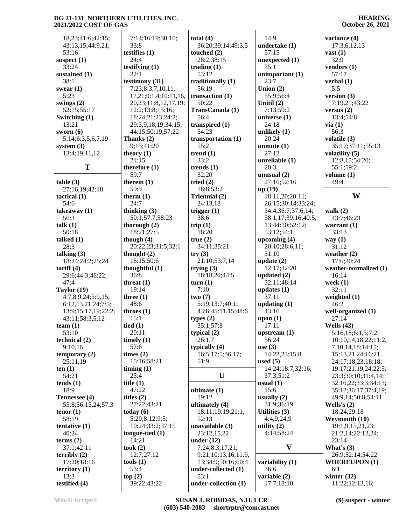#### **HEARING October 26, 2021**

| 18,23;41:6;42:15;                | 7:14;16:19;30:10;         | total $(4)$           | 14:9                                      | variance (4)                    |
|----------------------------------|---------------------------|-----------------------|-------------------------------------------|---------------------------------|
| 43:13,15;44:9,21;                | 33:8                      | 36:20;39:14;49:3,5    | undertake (1)                             | 17:3,6,12,13                    |
| 53:16                            | testifies $(1)$           | touched $(2)$         | 57:15                                     | vast $(1)$                      |
| suspect $(1)$                    | 24:4                      | 28:2;38:15            | unexpected $(1)$                          | 32:9                            |
| 33:24                            | testifying $(1)$          | trading $(1)$         | 35:1                                      | vendors (1)                     |
| sustained (1)                    | 22:1                      | 53:12                 | unimportant (1)                           | 57:17                           |
| 38:1                             | testimony (31)            | traditionally (1)     | 23:7                                      | verbal $(1)$                    |
| swear $(1)$                      | 7:23;8:3,7,10,11,         | 56:19                 | Union $(2)$                               | 5:5                             |
| 5:23                             | 17,21;9:1,4;10:11,16,     | transaction $(1)$     | 55:9;56:4                                 | version $(3)$                   |
| swings $(2)$                     | 20, 23; 11:8, 12, 17, 19; | 50:22                 | Unitil $(2)$                              | 7:19,21;43:22                   |
| 52:15;55:17                      | 12:2;13:8;15:16;          | TransCanada (1)       | 7:13;59:2                                 | versus $(2)$                    |
| Switching (1)                    | 18:24;21:23;24:2;         | 56:4                  | universe $(1)$                            | 13:4;54:8                       |
| 13:21                            | 29:3,9,18,19;34:15;       | transpired $(1)$      | 24:18                                     | via(1)                          |
| sworn $(6)$                      | 44:15;50:19;57:22         | 54:23                 | unlikely $(1)$                            | 56:3                            |
| 5:14;6:3,5,6,7,19                | Thanks (2)                | transportation $(1)$  | 20:24                                     | volatile (3)                    |
| system $(3)$                     | 9:15;41:20                | 55:2                  | unmute $(1)$                              | 35:17;37:11;55:13               |
| 13:4;19:11,12                    | theory $(1)$              | trend $(1)$<br>33:2   | 27:12                                     | volatility $(5)$                |
| T                                | 21:15                     |                       | unreliable $(1)$                          | 12:8,15;54:20;                  |
|                                  | therefore $(1)$           | trends $(1)$          | 20:3                                      | 55:1;59:2                       |
|                                  | 59:7                      | 32:20                 | unusual $(2)$                             | volume $(1)$                    |
| table(3)                         | therein $(1)$             | tried $(2)$           | 27:16;52:16                               | 49:4                            |
| 27:16,19;42:18                   | 59:9                      | 18:8;53:2             | up(19)                                    | W                               |
| tactical $(1)$                   | therm $(1)$               | Triennial (2)         | 18:11,20;20:11;                           |                                 |
| 54:6                             | 24:7<br>thinking $(3)$    | 24:13,18              | 26:15;30:14;33:24;                        |                                 |
| takeaway $(1)$<br>56:3           | 50:1;57:7;58:23           | trigger $(1)$<br>38:6 | 34:4;36:7;37:6,14;<br>38:1,17;39:16;40:5, | walk $(2)$                      |
|                                  | thorough $(2)$            | trip $(1)$            | 13;44:10;52:12;                           | 43:7:46:23                      |
| talk $(1)$<br>50:18              | 18:21;27:5                | 18:20                 | 53:12;54:1                                | warrant $(1)$<br>33:13          |
| talked $(1)$                     | though $(4)$              | true(2)               | upcoming $(4)$                            | way $(1)$                       |
| 28:3                             | 20:22,23;31:5;32:1        | 34:11;35:21           | 20:10;28:6,11;                            | 31:12                           |
| talking $(3)$                    | thought $(2)$             | try(3)                | 31:10                                     | weather $(2)$                   |
|                                  | 16:15;50:6                | 21:10;53:7,14         | update $(2)$                              | 17:6;30:24                      |
| 18:24;24:2;25:24<br>tariff $(4)$ | thoughtful $(1)$          | trying $(3)$          | 12:17;32:20                               |                                 |
| 29:6;44:3;46:22;                 | 36:8                      | 18:18,20;44:5         | updated $(2)$                             | weather-normalized (1)<br>16:14 |
| 47:4                             | threat $(1)$              | turn(1)               | 32:11;48:14                               | week $(1)$                      |
| Taylor $(19)$                    | 19:14                     | 7:10                  | updates $(1)$                             | 32:11                           |
| 4:7,8,9,24;5:9,15;               | three $(1)$               | two(7)                | 37:11                                     | weighted $(1)$                  |
| 6:12,13,21,24;7:5;               | 48:6                      | 5:19;13:7;40:1;       | updating $(1)$                            | 46:2                            |
| 13:9;15:17,19;22:2;              | throes $(1)$              | 43:6;45:11,15;48:6    | 43:16                                     | well-organized (1)              |
| 43:11;58:3,5,12                  | 15:1                      | types $(2)$           | upon $(1)$                                | 27:14                           |
| team(1)                          | tied $(1)$                | 35:1;57:8             | 17:11                                     | Wells $(43)$                    |
| 53:10                            | 20:11                     | typical $(2)$         | upstream $(1)$                            | 5:16,18;6:1,5;7:2;              |
| technical (2)                    | timely $(1)$              | 26:1,7                | 56:24                                     | 10:10,14,18,22;11:2,            |
| 9:10,16                          | 57:6                      | typically $(4)$       | use $(3)$                                 | 7, 10, 14, 18; 14: 15;          |
| temporary $(2)$                  | times $(2)$               | 16:5;17:5;36:17;      | 14:22,23;15:8                             | 15:13,21,24;16:21,              |
| 25:11,19                         | 15:16;58:21               | 51:9                  | used $(5)$                                | 24;17:18,23;18:18;              |
| ten $(1)$                        | $\lim_{t \to \infty}$ (1) |                       | 14:24;18:7;32:16;                         | 19:17;21:19,24;22:5;            |
| 54:21                            | 25:4                      | $\mathbf{U}$          | 37:3;51:2                                 | 23:3;30:10;31:4,14;             |
| tends $(1)$                      | title $(1)$               |                       | usual $(1)$                               | 32:16,22;33:3;34:13;            |
| 18:9                             | 47:22                     | ultimate $(1)$        | 15:6                                      | 35:12;36:17;37:4,19;            |
| Tennessee (4)                    | titles $(2)$              | 19:12                 | usually $(2)$                             | 49:9,14;50:8;54:11              |
| 55:8;56:15,24;57:3               | 27:22;43:21               | ultimately (4)        | 31:9;36:19                                | Wells's $(2)$                   |
| tenor $(1)$                      | today $(6)$               | 18:11;19:19;21:1;     | Utilities $(3)$                           | 18:24;29:18                     |
| 58:19                            | 5:20;8:12;9:5;            | 52:13                 | 4:4,9;24:9                                | Weymouth (10)                   |
| tentative $(1)$                  | 10:24;33:2;37:15          | unavailable (3)       | utility $(2)$                             | 19:1,9,15,21,23;                |
| 40:24                            | tongue-tied $(1)$         | 23:12,15,22           | 4:14:58:24                                | 21:2,14;22:12,24;               |
| terms $(2)$                      | 14:21                     | under $(12)$          |                                           | 23:14                           |
| 37:1;42:11                       | took $(2)$                | 7:24;8:3,17,21;       | $\mathbf{V}$                              | What's $(3)$                    |
| terribly $(2)$                   | 12:7:27:12                | 9:21;10:13,16;11:9,   |                                           | 26:9;52:14;54:22                |
| 17:20;18:16                      | tools $(1)$               | 13;34:9;50:16;60:4    | variability (1)                           | <b>WHEREUPON (1)</b>            |
| territory $(1)$                  | 53:4                      | under-collected (1)   | 36:6                                      | 6:1                             |
| 13:3                             | top(2)                    | 53:1                  | variable $(2)$                            | winter $(32)$                   |
| testified (4)                    | 39:22;43:22               | under-collection (1)  | 17:7;18:10                                | 11:22;12:13,16;                 |
|                                  |                           |                       |                                           |                                 |